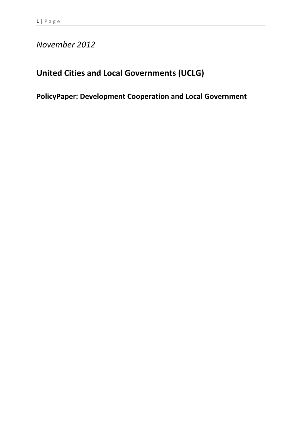# *November 2012*

# **United Cities and Local Governments (UCLG)**

# **PolicyPaper: Development Cooperation and Local Government**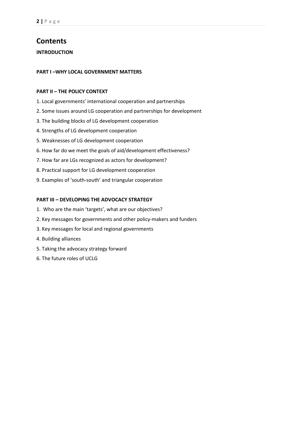# **Contents**

**INTRODUCTION** 

## **PART I –WHY LOCAL GOVERNMENT MATTERS**

## **PART II – THE POLICY CONTEXT**

- 1. Local governments' international cooperation and partnerships
- 2. Some issues around LG cooperation and partnerships for development
- 3. The building blocks of LG development cooperation
- 4. Strengths of LG development cooperation
- 5. Weaknesses of LG development cooperation
- 6. How far do we meet the goals of aid/development effectiveness?
- 7. How far are LGs recognized as actors for development?
- 8. Practical support for LG development cooperation
- 9. Examples of 'south-south' and triangular cooperation

## **PART III – DEVELOPING THE ADVOCACY STRATEGY**

- 1. Who are the main 'targets', what are our objectives?
- 2. Key messages for governments and other policy-makers and funders
- 3. Key messages for local and regional governments
- 4. Building alliances
- 5. Taking the advocacy strategy forward
- 6. The future roles of UCLG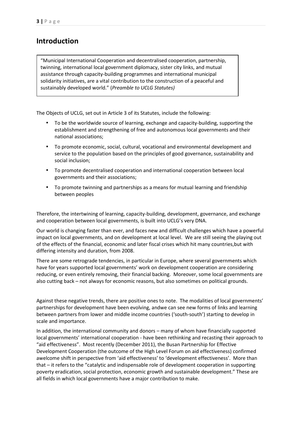# **Introduction**

"Municipal International Cooperation and decentralised cooperation, partnership, twinning, international local government diplomacy, sister city links, and mutual assistance through capacity-building programmes and international municipal solidarity initiatives, are a vital contribution to the construction of a peaceful and sustainably developed world." (*Preamble to UCLG Statutes)* 

The Objects of UCLG, set out in Article 3 of its Statutes, include the following:

- To be the worldwide source of learning, exchange and capacity-building, supporting the establishment and strengthening of free and autonomous local governments and their national associations;
- To promote economic, social, cultural, vocational and environmental development and service to the population based on the principles of good governance, sustainability and social inclusion;
- To promote decentralised cooperation and international cooperation between local governments and their associations;
- To promote twinning and partnerships as a means for mutual learning and friendship between peoples

Therefore, the intertwining of learning, capacity-building, development, governance, and exchange and cooperation between local governments, is built into UCLG's very DNA.

Our world is changing faster than ever, and faces new and difficult challenges which have a powerful impact on local governments, and on development at local level. We are still seeing the playing out of the effects of the financial, economic and later fiscal crises which hit many countries,but with differing intensity and duration, from 2008.

There are some retrograde tendencies, in particular in Europe, where several governments which have for years supported local governments' work on development cooperation are considering reducing, or even entirely removing, their financial backing. Moreover, some local governments are also cutting back – not always for economic reasons, but also sometimes on political grounds.

Against these negative trends, there are positive ones to note. The modalities of local governments' partnerships for development have been evolving, andwe can see new forms of links and learning between partners from lower and middle income countries ('south-south') starting to develop in scale and importance.

In addition, the international community and donors – many of whom have financially supported local governments' international cooperation - have been rethinking and recasting their approach to "aid effectiveness". Most recently (December 2011), the Busan Partnership for Effective Development Cooperation (the outcome of the High Level Forum on aid effectiveness) confirmed awelcome shift in perspective from 'aid effectiveness' to 'development effectiveness'. More than that – it refers to the "catalytic and indispensable role of development cooperation in supporting poverty eradication, social protection, economic growth and sustainable development." These are all fields in which local governments have a major contribution to make.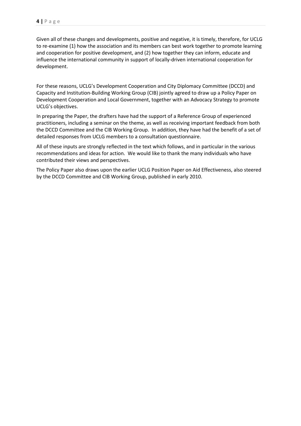Given all of these changes and developments, positive and negative, it is timely, therefore, for UCLG to re-examine (1) how the association and its members can best work together to promote learning and cooperation for positive development, and (2) how together they can inform, educate and influence the international community in support of locally-driven international cooperation for development.

For these reasons, UCLG's Development Cooperation and City Diplomacy Committee (DCCD) and Capacity and Institution-Building Working Group (CIB) jointly agreed to draw up a Policy Paper on Development Cooperation and Local Government, together with an Advocacy Strategy to promote UCLG's objectives.

In preparing the Paper, the drafters have had the support of a Reference Group of experienced practitioners, including a seminar on the theme, as well as receiving important feedback from both the DCCD Committee and the CIB Working Group. In addition, they have had the benefit of a set of detailed responses from UCLG members to a consultation questionnaire.

All of these inputs are strongly reflected in the text which follows, and in particular in the various recommendations and ideas for action. We would like to thank the many individuals who have contributed their views and perspectives.

The Policy Paper also draws upon the earlier UCLG Position Paper on Aid Effectiveness, also steered by the DCCD Committee and CIB Working Group, published in early 2010.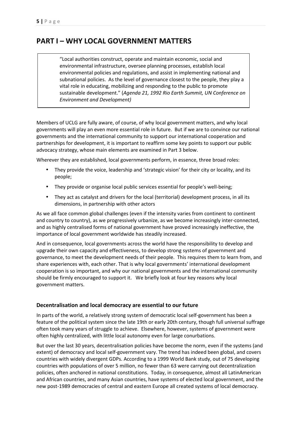# **PART I – WHY LOCAL GOVERNMENT MATTERS**

"Local authorities construct, operate and maintain economic, social and environmental infrastructure, oversee planning processes, establish local environmental policies and regulations, and assist in implementing national and subnational policies. As the level of governance closest to the people, they play a vital role in educating, mobilizing and responding to the public to promote sustainable development." (*Agenda 21, 1992 Rio Earth Summit, UN Conference on Environment and Development)* 

Members of UCLG are fully aware, of course, of why local government matters, and why local governments will play an even more essential role in future. But if we are to convince our national governments and the international community to support our international cooperation and partnerships for development, it is important to reaffirm some key points to support our public advocacy strategy, whose main elements are examined in Part 3 below.

Wherever they are established, local governments perform, in essence, three broad roles:

- They provide the voice, leadership and 'strategic vision' for their city or locality, and its people;
- They provide or organise local public services essential for people's well-being;
- They act as catalyst and drivers for the local (territorial) development process, in all its dimensions, in partnership with other actors

As we all face common global challenges (even if the intensity varies from continent to continent and country to country), as we progressively urbanize, as we become increasingly inter-connected, and as highly centralised forms of national government have proved increasingly ineffective, the importance of local government worldwide has steadily increased.

And in consequence, local governments across the world have the responsibility to develop and upgrade their own capacity and effectiveness, to develop strong systems of government and governance, to meet the development needs of their people. This requires them to learn from, and share experiences with, each other. That is why local governments' international development cooperation is so important, and why our national governments and the international community should be firmly encouraged to support it. We briefly look at four key reasons why local government matters.

# **Decentralisation and local democracy are essential to our future**

In parts of the world, a relatively strong system of democratic local self-government has been a feature of the political system since the late 19th or early 20th century, though full universal suffrage often took many years of struggle to achieve. Elsewhere, however, systems of government were often highly centralized, with little local autonomy even for large conurbations.

But over the last 30 years, decentralisation policies have become the norm, even if the systems (and extent) of democracy and local self-government vary. The trend has indeed been global, and covers countries with widely divergent GDPs. According to a 1999 World Bank study, out of 75 developing countries with populations of over 5 million, no fewer than 63 were carrying out decentralization policies, often anchored in national constitutions. Today, in consequence, almost all LatinAmerican and African countries, and many Asian countries, have systems of elected local government, and the new post-1989 democracies of central and eastern Europe all created systems of local democracy.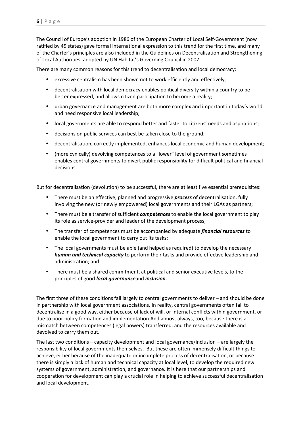The Council of Europe's adoption in 1986 of the European Charter of Local Self-Government (now ratified by 45 states) gave formal international expression to this trend for the first time, and many of the Charter's principles are also included in the Guidelines on Decentralisation and Strengthening of Local Authorities, adopted by UN Habitat's Governing Council in 2007.

There are many common reasons for this trend to decentralisation and local democracy:

- excessive centralism has been shown not to work efficiently and effectively;
- decentralisation with local democracy enables political diversity within a country to be better expressed, and allows citizen participation to become a reality;
- urban governance and management are both more complex and important in today's world, and need responsive local leadership;
- local governments are able to respond better and faster to citizens' needs and aspirations;
- decisions on public services can best be taken close to the ground;
- decentralisation, correctly implemented, enhances local economic and human development;
- (more cynically) devolving competences to a "lower" level of government sometimes enables central governments to divert public responsibility for difficult political and financial decisions.

But for decentralisation (devolution) to be successful, there are at least five essential prerequisites:

- There must be an effective, planned and progressive *process* of decentralisation, fully involving the new (or newly empowered) local governments and their LGAs as partners;
- There must be a transfer of sufficient *competences* to enable the local government to play its role as service-provider and leader of the development process;
- The transfer of competences must be accompanied by adequate *financial resources* to enable the local government to carry out its tasks;
- The local governments must be able (and helped as required) to develop the necessary *human and technical capacity* to perform their tasks and provide effective leadership and administration; and
- There must be a shared commitment, at political and senior executive levels, to the principles of good *local governance*and *inclusion.*

The first three of these conditions fall largely to central governments to deliver – and should be done in partnership with local government associations. In reality, central governments often fail to decentralise in a good way, either because of lack of will, or internal conflicts within government, or due to poor policy formation and implementation.And almost always, too, because there is a mismatch between competences (legal powers) transferred, and the resources available and devolved to carry them out.

The last two conditions – capacity development and local governance/inclusion – are largely the responsibility of local governments themselves. But these are often immensely difficult things to achieve, either because of the inadequate or incomplete process of decentralisation, or because there is simply a lack of human and technical capacity at local level, to develop the required new systems of government, administration, and governance. It is here that our partnerships and cooperation for development can play a crucial role in helping to achieve successful decentralisation and local development.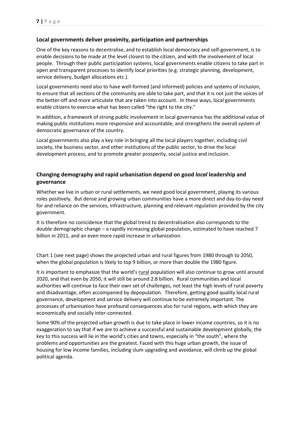# **Local governments deliver proximity, participation and partnerships**

One of the key reasons to decentralise, and to establish local democracy and self-government, is to enable decisions to be made at the level closest to the citizen, and with the involvement of local people. Through their public participation systems, local governments enable citizens to take part in open and transparent processes to identify local priorities (e.g. strategic planning, development, service delivery, budget allocations etc.).

Local governments need also to have well-formed (and informed) policies and systems of inclusion, to ensure that all sections of the community are able to take part, and that it is not just the voices of the better-off and more articulate that are taken into account. In these ways, local governments enable citizens to exercise what has been called "the right to the city."

In addition, a framework of strong public involvement in local governance has the additional value of making public institutions more responsive and accountable, and strengthens the overall system of democratic governance of the country.

Local governments also play a key role in bringing all the local players together, including civil society, the business sector, and other institutions of the public sector, to drive the local development process, and to promote greater prosperity, social justice and inclusion.

# **Changing demography and rapid urbanisation depend on good** *local* **leadership and governance**

Whether we live in urban or rural settlements, we need good local government, playing its various roles positively. But dense and growing urban communities have a more direct and day-to-day need for and reliance on the services, infrastructure, planning and relevant regulation provided by the city government.

It is therefore no coincidence that the global trend to decentralisation also corresponds to the double demographic change – a rapidly increasing global population, estimated to have reached 7 billion in 2011, and an even more rapid increase in urbanization.

Chart 1 (see next page) shows the projected urban and rural figures from 1980 through to 2050, when the global population is likely to top 9 billion, or more than double the 1980 figure.

It is important to emphasize that the world's rural population will also continue to grow until around 2020, and that even by 2050, it will still be around 2.8 billion. Rural communities and local authorities will continue to face their own set of challenges, not least the high levels of rural poverty and disadvantage, often accompanied by depopulation. Therefore, getting good quality local rural governance, development and service delivery will continue to be extremely important. The processes of urbanisation have profound consequences also for rural regions, with which they are economically and socially inter-connected.

Some 90% of the projected urban growth is due to take place in lower income countries, so it is no exaggeration to say that if we are to achieve a successful and sustainable development globally, the key to this success will lie in the world's cities and towns, especially in "the south", where the problems and opportunities are the greatest. Faced with this huge urban growth, the issue of housing for low income families, including slum upgrading and avoidance, will climb up the global political agenda.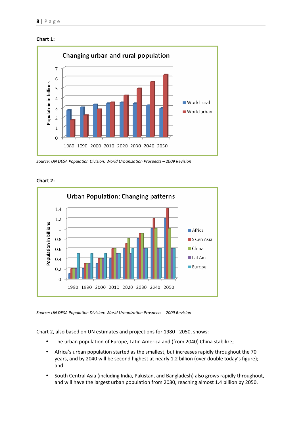



*Source: UN DESA Population Division: World Urbanization Prospects – 2009 Revision* 



**Chart 2:** 

*Source: UN DESA Population Division: World Urbanization Prospects – 2009 Revision* 

Chart 2, also based on UN estimates and projections for 1980 - 2050, shows:

- The urban population of Europe, Latin America and (from 2040) China stabilize;
- Africa's urban population started as the smallest, but increases rapidly throughout the 70 years, and by 2040 will be second highest at nearly 1.2 billion (over double today's figure); and
- South Central Asia (including India, Pakistan, and Bangladesh) also grows rapidly throughout, and will have the largest urban population from 2030, reaching almost 1.4 billion by 2050.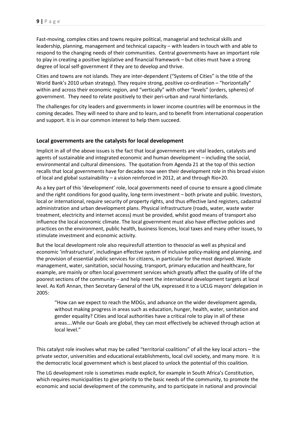Fast-moving, complex cities and towns require political, managerial and technical skills and leadership, planning, management and technical capacity – with leaders in touch with and able to respond to the changing needs of their communities. Central governments have an important role to play in creating a positive legislative and financial framework – but cities must have a strong degree of local self-government if they are to develop and thrive.

Cities and towns are not islands. They are inter-dependent ("Systems of Cities" is the title of the World Bank's 2010 urban strategy). They require strong, positive co-ordination – "horizontally" within and across their economic region, and "vertically" with other "levels" (orders, spheres) of government. They need to relate positively to their peri-urban and rural hinterlands.

The challenges for city leaders and governments in lower income countries will be enormous in the coming decades. They will need to share and to learn, and to benefit from international cooperation and support. It is in our common interest to help them succeed.

# **Local governments are the catalysts for local development**

Implicit in all of the above issues is the fact that local governments are vital leaders, catalysts and agents of sustainable and integrated economic and human development – including the social, environmental and cultural dimensions. The quotation from Agenda 21 at the top of this section recalls that local governments have for decades now seen their development role in this broad vision of local and global sustainability – a vision reinforced in 2012, at and through Rio+20.

As a key part of this 'development' role, local governments need of course to ensure a good climate and the right conditions for good quality, long-term investment – both private and public. Investors, local or international, require security of property rights, and thus effective land registers, cadastral administration and urban development plans. Physical infrastructure (roads, water, waste water treatment, electricity and internet access) must be provided, whilst good means of transport also influence the local economic climate. The local government must also have effective policies and practices on the environment, public health, business licences, local taxes and many other issues, to stimulate investment and economic activity.

But the local development role also requiresfull attention to the*social* as well as physical and economic 'infrastructure', includingan effective system of inclusive policy-making and planning, and the provision of essential public services for citizens, in particular for the most deprived. Waste management, water, sanitation, social housing, transport, primary education and healthcare, for example, are mainly or often local government services which greatly affect the quality of life of the poorest sections of the community – and help meet the international development targets at local level. As Kofi Annan, then Secretary General of the UN, expressed it to a UCLG mayors' delegation in 2005:

"How can we expect to reach the MDGs, and advance on the wider development agenda, without making progress in areas such as education, hunger, health, water, sanitation and gender equality? Cities and local authorities have a critical role to play in all of these areas….While our Goals are global, they can most effectively be achieved through action at local level."

This catalyst role involves what may be called "territorial coalitions" of all the key local actors – the private sector, universities and educational establishments, local civil society, and many more. It is the democratic local government which is best placed to unlock the potential of this coalition.

The LG development role is sometimes made explicit, for example in South Africa's Constitution, which requires municipalities to give priority to the basic needs of the community, to promote the economic and social development of the community, and to participate in national and provincial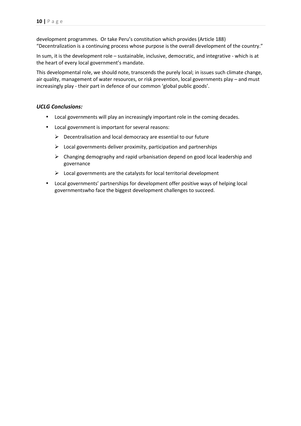development programmes. Or take Peru's constitution which provides (Article 188) "Decentralization is a continuing process whose purpose is the overall development of the country."

In sum, it is the development role – sustainable, inclusive, democratic, and integrative - which is at the heart of every local government's mandate.

This developmental role, we should note, transcends the purely local; in issues such climate change, air quality, management of water resources, or risk prevention, local governments play – and must increasingly play - their part in defence of our common 'global public goods'.

## *UCLG Conclusions:*

- Local governments will play an increasingly important role in the coming decades.
- Local government is important for several reasons:
	- $\triangleright$  Decentralisation and local democracy are essential to our future
	- $\triangleright$  Local governments deliver proximity, participation and partnerships
	- $\triangleright$  Changing demography and rapid urbanisation depend on good local leadership and governance
	- $\triangleright$  Local governments are the catalysts for local territorial development
- Local governments' partnerships for development offer positive ways of helping local governmentswho face the biggest development challenges to succeed.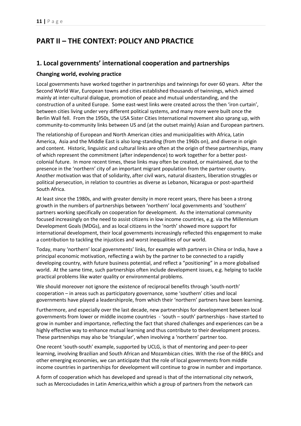# **PART II – THE CONTEXT: POLICY AND PRACTICE**

# **1. Local governments' international cooperation and partnerships**

# **Changing world, evolving practice**

Local governments have worked together in partnerships and twinnings for over 60 years. After the Second World War, European towns and cities established thousands of twinnings, which aimed mainly at inter-cultural dialogue, promotion of peace and mutual understanding, and the construction of a united Europe. Some east-west links were created across the then 'iron curtain', between cities living under very different political systems, and many more were built once the Berlin Wall fell. From the 1950s, the USA Sister Cities International movement also sprang up, with community-to-community links between US and (at the outset mainly) Asian and European partners.

The relationship of European and North American cities and municipalities with Africa, Latin America, Asia and the Middle East is also long-standing (from the 1960s on), and diverse in origin and content. Historic, linguistic and cultural links are often at the origin of these partnerships, many of which represent the commitment (after independence) to work together for a better postcolonial future. In more recent times, these links may often be created, or maintained, due to the presence in the 'northern' city of an important migrant population from the partner country. Another motivation was that of solidarity, after civil wars, natural disasters, liberation struggles or political persecution, in relation to countries as diverse as Lebanon, Nicaragua or post-apartheid South Africa.

At least since the 1980s, and with greater density in more recent years, there has been a strong growth in the numbers of partnerships between 'northern' local governments and 'southern' partners working specifically on cooperation for development. As the international community focused increasingly on the need to assist citizens in low income countries, e.g. via the Millennium Development Goals (MDGs), and as local citizens in the 'north' showed more support for international development, their local governments increasingly reflected this engagement to make a contribution to tackling the injustices and worst inequalities of our world.

Today, many 'northern' local governments' links, for example with partners in China or India, have a principal economic motivation, reflecting a wish by the partner to be connected to a rapidly developing country, with future business potential, and reflect a "positioning" in a more globalised world. At the same time, such partnerships often include development issues, e.g. helping to tackle practical problems like water quality or environmental problems.

We should moreover not ignore the existence of reciprocal benefits through 'south-north' cooperation – in areas such as participatory governance, some 'southern' cities and local governments have played a leadershiprole, from which their 'northern' partners have been learning.

Furthermore, and especially over the last decade, new partnerships for development between local governments from lower or middle income countries - 'south – south' partnerships - have started to grow in number and importance, reflecting the fact that shared challenges and experiences can be a highly effective way to enhance mutual learning and thus contribute to their development process. These partnerships may also be 'triangular', when involving a 'northern' partner too.

One recent 'south-south' example, supported by UCLG, is that of mentoring and peer-to-peer learning, involving Brazilian and South African and Mozambican cities. With the rise of the BRICs and other emerging economies, we can anticipate that the role of local governments from middle income countries in partnerships for development will continue to grow in number and importance.

A form of cooperation which has developed and spread is that of the international city network, such as Mercociudades in Latin America,within which a group of partners from the network can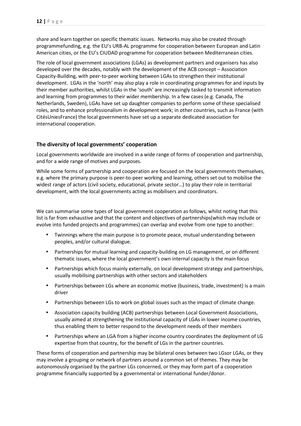share and learn together on specific thematic issues. Networks may also be created through programmefunding, e.g. the EU's URB-AL programme for cooperation between European and Latin American cities, or the EU's CIUDAD programme for cooperation between Mediterranean cities.

The role of local government associations (LGAs) as development partners and organisers has also developed over the decades, notably with the development of the ACB concept – Association Capacity-Building, with peer-to-peer working between LGAs to strengthen their institutional development. LGAs in the 'north' may also play a role in coordinating programmes for and inputs by their member authorities, whilst LGAs in the 'south' are increasingly tasked to transmit information and learning from programmes to their wider membership. In a few cases (e.g. Canada, The Netherlands, Sweden), LGAs have set up daughter companies to perform some of these specialised roles, and to enhance professionalism in development work; in other countries, such as France (with CitésUniesFrance) the local governments have set up a separate dedicated association for international cooperation.

# **The diversity of local governments' cooperation**

Local governments worldwide are involved in a wide range of forms of cooperation and partnership, and for a wide range of motives and purposes.

While some forms of partnership and cooperation are focused on the local governments themselves, e.g. where the primary purpose is peer-to-peer working and learning, others set out to mobilise the widest range of actors (civil society, educational, private sector…) to play their role in territorial development, with the local governments acting as mobilisers and coordinators.

We can summarise some types of local government cooperation as follows, whilst noting that this list is far from exhaustive and that the content and objectives of partnerships(which may include or evolve into funded projects and programmes) can overlap and evolve from one type to another:

- Twinnings where the main purpose is to promote peace, mutual understanding between peoples, and/or cultural dialogue.
- Partnerships for mutual learning and capacity-building on LG management, or on different thematic issues, where the local government's own internal capacity is the main focus
- Partnerships which focus mainly externally, on local development strategy and partnerships, usually mobilising partnerships with other sectors and stakeholders
- Partnerships between LGs where an economic motive (business, trade, investment) is a main driver
- Partnerships between LGs to work on global issues such as the impact of climate change.
- Association capacity building (ACB) partnerships between Local Government Associations, usually aimed at strengthening the institutional capacity of LGAs in lower income countries, thus enabling them to better respond to the development needs of their members
- Partnerships where an LGA from a higher income country coordinates the deployment of LG expertise from that country, for the benefit of LGs in the partner countries.

These forms of cooperation and partnership may be bilateral ones between two LGsor LGAs, or they may involve a grouping or network of partners around a common set of themes. They may be autonomously organised by the partner LGs concerned, or they may form part of a cooperation programme financially supported by a governmental or international funder/donor.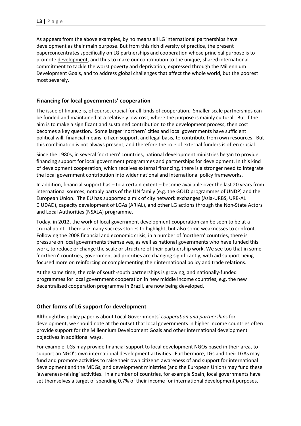As appears from the above examples, by no means all LG international partnerships have development as their main purpose. But from this rich diversity of practice, the present paperconcentrates specifically on LG partnerships and cooperation whose principal purpose is to promote development, and thus to make our contribution to the unique, shared international commitment to tackle the worst poverty and deprivation, expressed through the Millennium Development Goals, and to address global challenges that affect the whole world, but the poorest most severely.

# **Financing for local governments' cooperation**

The issue of finance is, of course, crucial for all kinds of cooperation. Smaller-scale partnerships can be funded and maintained at a relatively low cost, where the purpose is mainly cultural. But if the aim is to make a significant and sustained contribution to the development process, then cost becomes a key question. Some larger 'northern' cities and local governments have sufficient political will, financial means, citizen support, and legal basis, to contribute from own resources. But this combination is not always present, and therefore the role of external funders is often crucial.

Since the 1980s, in several 'northern' countries, national development ministries began to provide financing support for local government programmes and partnerships for development. In this kind of development cooperation, which receives external financing, there is a stronger need to integrate the local government contribution into wider national and international policy frameworks.

In addition, financial support has – to a certain extent – become available over the last 20 years from international sources, notably parts of the UN family (e.g. the GOLD programmes of UNDP) and the European Union. The EU has supported a mix of city network exchanges (Asia-URBS, URB-AL CIUDAD), capacity development of LGAs (ARIAL), and other LG actions through the Non-State Actors and Local Authorities (NSALA) programme.

Today, in 2012, the work of local government development cooperation can be seen to be at a crucial point. There are many success stories to highlight, but also some weaknesses to confront. Following the 2008 financial and economic crisis, in a number of 'northern' countries, there is pressure on local governments themselves, as well as national governments who have funded this work, to reduce or change the scale or structure of their partnership work. We see too that in some 'northern' countries, government aid priorities are changing significantly, with aid support being focused more on reinforcing or complementing their international policy and trade relations.

At the same time, the role of south-south partnerships is growing, and nationally-funded programmes for local government cooperation in new middle income countries, e.g. the new decentralised cooperation programme in Brazil, are now being developed.

# **Other forms of LG support for development**

Althoughthis policy paper is about Local Governments' *cooperation and partnerships* for development, we should note at the outset that local governments in higher income countries often provide support for the Millennium Development Goals and other international development objectives in additional ways.

For example, LGs may provide financial support to local development NGOs based in their area, to support an NGO's own international development activities. Furthermore, LGs and their LGAs may fund and promote activities to raise their own citizens' awareness of and support for international development and the MDGs, and development ministries (and the European Union) may fund these 'awareness-raising' activities. In a number of countries, for example Spain, local governments have set themselves a target of spending 0.7% of their income for international development purposes,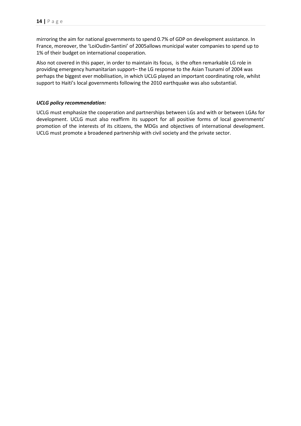mirroring the aim for national governments to spend 0.7% of GDP on development assistance. In France, moreover, the 'LoiOudin-Santini' of 2005allows municipal water companies to spend up to 1% of their budget on international cooperation.

Also not covered in this paper, in order to maintain its focus, is the often remarkable LG role in providing emergency humanitarian support– the LG response to the Asian Tsunami of 2004 was perhaps the biggest ever mobilisation, in which UCLG played an important coordinating role, whilst support to Haiti's local governments following the 2010 earthquake was also substantial.

## *UCLG policy recommendation:*

UCLG must emphasize the cooperation and partnerships between LGs and with or between LGAs for development. UCLG must also reaffirm its support for all positive forms of local governments' promotion of the interests of its citizens, the MDGs and objectives of international development. UCLG must promote a broadened partnership with civil society and the private sector.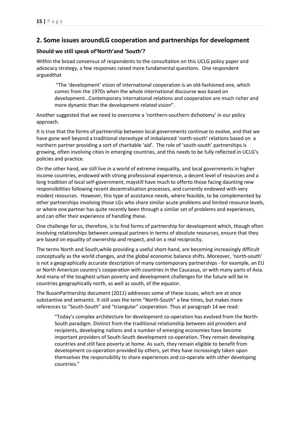# **2. Some issues aroundLG cooperation and partnerships for development**

# **Should we still speak of'North'and 'South'?**

Within the broad consensus of respondents to the consultation on this UCLG policy paper and advocacy strategy, a few responses raised more fundamental questions. One respondent arguedthat

 "The 'development' vision of international cooperation is an old-fashioned one, which comes from the 1970s when the whole international discourse was based on development…Contemporary international relations and cooperation are much richer and more dynamic than the development-related vision".

Another suggested that we need to overcome a 'northern-southern dichotomy' in our policy approach.

It is true that the forms of partnership between local governments continue to evolve, and that we have gone well beyond a traditional stereotype of imbalanced 'north-south' relations based on a northern partner providing a sort of charitable 'aid'. The role of 'south-south' partnerships is growing, often involving cities in emerging countries, and this needs to be fully reflected in UCLG's policies and practice.

On the other hand, we still live in a world of extreme inequality, and local governments in higher income countries, endowed with strong professional experience, a decent level of resources and a long tradition of local self-government, maystill have much to offerto those facing daunting new responsibilities following recent decentralisation processes, and currently endowed with very modest resources. However, this type of assistance needs, where feasible, to be complemented by other partnerships involving those LGs who share similar acute problems and limited resource levels, or where one partner has quite recently been through a similar set of problems and experiences, and can offer their experience of handling these.

One challenge for us, therefore, is to find forms of partnership for development which, though often involving relationships between unequal partners in terms of absolute resources, ensure that they are based on equality of ownership and respect, and on a real reciprocity.

The terms North and South,while providing a useful short-hand, are becoming increasingly difficult conceptually as the world changes, and the global economic balance shifts. Moreover, 'north-south' is not a geographically accurate description of many contemporary partnerships - for example, an EU or North American country's cooperation with countries in the Caucasus, or with many parts of Asia. And many of the toughest urban poverty and development challenges for the future will be in countries geographically north, as well as south, of the equator.

The BusanPartnership document (2011) addresses some of these issues, which are at once substantive and semantic. It still uses the term "North-South" a few times, but makes more references to "South-South" and "triangular" cooperation. Thus at paragraph 14 we read:

"Today's complex architecture for development co-operation has evolved from the North-South paradigm. Distinct from the traditional relationship between aid providers and recipients, developing nations and a number of emerging economies have become important providers of South-South development co-operation. They remain developing countries and still face poverty at home. As such, they remain eligible to benefit from development co-operation provided by others, yet they have increasingly taken upon themselves the responsibility to share experiences and co-operate with other developing countries."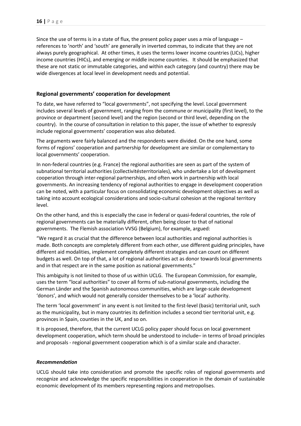Since the use of terms is in a state of flux, the present policy paper uses a mix of language – references to 'north' and 'south' are generally in inverted commas, to indicate that they are not always purely geographical. At other times, it uses the terms lower income countries (LICs), higher income countries (HICs), and emerging or middle income countries. It should be emphasized that these are not static or immutable categories, and within each category (and country) there may be wide divergences at local level in development needs and potential.

## **Regional governments' cooperation for development**

To date, we have referred to "local governments", not specifying the level. Local government includes several levels of government, ranging from the commune or municipality (first level), to the province or department (second level) and the region (second or third level, depending on the country). In the course of consultation in relation to this paper, the issue of whether to expressly include regional governments' cooperation was also debated.

The arguments were fairly balanced and the respondents were divided. On the one hand, some forms of regions' cooperation and partnership for development are similar or complementary to local governments' cooperation.

In non-federal countries (e.g. France) the regional authorities are seen as part of the system of subnational territorial authorities (collectivitésterritoriales), who undertake a lot of development cooperation through inter-regional partnerships, and often work in partnership with local governments. An increasing tendency of regional authorities to engage in development cooperation can be noted, with a particular focus on consolidating economic development objectives as well as taking into account ecological considerations and socio-cultural cohesion at the regional territory level.

On the other hand, and this is especially the case in federal or quasi-federal countries, the role of regional governments can be materially different, often being closer to that of national governments. The Flemish association VVSG (Belgium), for example, argued:

"We regard it as crucial that the difference between local authorities and regional authorities is made. Both concepts are completely different from each other, use different guiding principles, have different aid modalities, implement completely different strategies and can count on different budgets as well. On top of that, a lot of regional authorities act as donor towards local governments and in that respect are in the same position as national governments."

This ambiguity is not limited to those of us within UCLG. The European Commission, for example, uses the term "local authorities" to cover all forms of sub-national governments, including the German Länder and the Spanish autonomous communities, which are large-scale development 'donors', and which would not generally consider themselves to be a 'local' authority.

The term 'local government' in any event is not limited to the first-level (basic) territorial unit, such as the municipality, but in many countries its definition includes a second tier territorial unit, e.g. provinces in Spain, counties in the UK, and so on.

It is proposed, therefore, that the current UCLG policy paper should focus on local government development cooperation, which term should be understood to include– in terms of broad principles and proposals - regional government cooperation which is of a similar scale and character.

#### *Recommendation*

UCLG should take into consideration and promote the specific roles of regional governments and recognize and acknowledge the specific responsibilities in cooperation in the domain of sustainable economic development of its members representing regions and metropolises.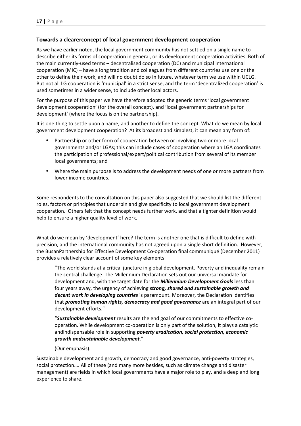# **Towards a clearerconcept of local government development cooperation**

As we have earlier noted, the local government community has not settled on a single name to describe either its forms of cooperation in general, or its development cooperation activities. Both of the main currently-used terms – decentralised cooperation (DC) and municipal international cooperation (MIC) – have a long tradition and colleagues from different countries use one or the other to define their work, and will no doubt do so in future, whatever term we use within UCLG. But not all LG cooperation is 'municipal' in a strict sense, and the term 'decentralized cooperation' is used sometimes in a wider sense, to include other local actors.

For the purpose of this paper we have therefore adopted the generic terms 'local government development cooperation' (for the overall concept), and 'local government partnerships for development' (where the focus is on the partnership).

It is one thing to settle upon a name, and another to define the concept. What do we mean by local government development cooperation? At its broadest and simplest, it can mean any form of:

- Partnership or other form of cooperation between or involving two or more local governments and/or LGAs; this can include cases of cooperation where an LGA coordinates the participation of professional/expert/political contribution from several of its member local governments; and
- Where the main purpose is to address the development needs of one or more partners from lower income countries.

Some respondents to the consultation on this paper also suggested that we should list the different roles, factors or principles that underpin and give specificity to local government development cooperation. Others felt that the concept needs further work, and that a tighter definition would help to ensure a higher quality level of work.

What do we mean by 'development' here? The term is another one that is difficult to define with precision, and the international community has not agreed upon a single short definition. However, the BusanPartnership for Effective Development Co-operation final communiqué (December 2011) provides a relatively clear account of some key elements:

"The world stands at a critical juncture in global development. Poverty and inequality remain the central challenge. The Millennium Declaration sets out our universal mandate for development and, with the target date for the *Millennium Development Goals* less than four years away, the urgency of achieving *strong, shared and sustainable growth and decent work in developing countries* is paramount. Moreover, the Declaration identifies that *promoting human rights, democracy and good governance* are an integral part of our development efforts."

"*Sustainable development* results are the end goal of our commitments to effective cooperation. While development co-operation is only part of the solution, it plays a catalytic andindispensable role in supporting *poverty eradication, social protection, economic growth andsustainable development.*"

#### (Our emphasis).

Sustainable development and growth, democracy and good governance, anti-poverty strategies, social protection…. All of these (and many more besides, such as climate change and disaster management) are fields in which local governments have a major role to play, and a deep and long experience to share.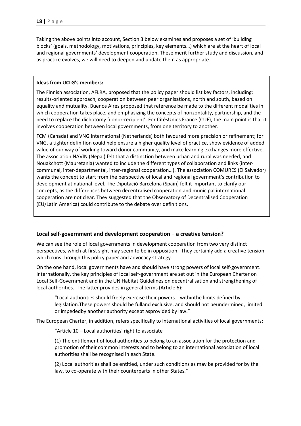Taking the above points into account, Section 3 below examines and proposes a set of 'building blocks' (goals, methodology, motivations, principles, key elements…) which are at the heart of local and regional governments' development cooperation. These merit further study and discussion, and as practice evolves, we will need to deepen and update them as appropriate.

#### **Ideas from UCLG's members:**

The Finnish association, AFLRA, proposed that the policy paper should list key factors, including: results-oriented approach, cooperation between peer organisations, north and south, based on equality and mutuality. Buenos Aires proposed that reference be made to the different modalities in which cooperation takes place, and emphasizing the concepts of horizontality, partnership, and the need to replace the dichotomy 'donor-recipient'. For CitésUnies France (CUF), the main point is that it involves cooperation between local governments, from one territory to another.

FCM (Canada) and VNG International (Netherlands) both favoured more precision or refinement; for VNG, a tighter definition could help ensure a higher quality level of practice, show evidence of added value of our way of working toward donor community, and make learning exchanges more effective. The association NAVIN (Nepal) felt that a distinction between urban and rural was needed, and Nouakchott (Mauretania) wanted to include the different types of collaboration and links (intercommunal, inter-departmental, inter-regional cooperation…). The association COMURES (El Salvador) wants the concept to start from the perspective of local and regional government's contribution to development at national level. The Diputació Barcelona (Spain) felt it important to clarify our concepts, as the differences between decentralised cooperation and municipal international cooperation are not clear. They suggested that the Observatory of Decentralised Cooperation (EU/Latin America) could contribute to the debate over definitions.

#### **Local self-government and development cooperation – a creative tension?**

We can see the role of local governments in development cooperation from two very distinct perspectives, which at first sight may seem to be in opposition. They certainly add a creative tension which runs through this policy paper and advocacy strategy.

On the one hand, local governments have and should have strong powers of local self-government. Internationally, the key principles of local self-government are set out in the European Charter on Local Self-Government and in the UN Habitat Guidelines on decentralisation and strengthening of local authorities. The latter provides in general terms (Article 6):

"Local authorities should freely exercise their powers… withinthe limits defined by legislation.These powers should be fulland exclusive, and should not beundermined, limited or impededby another authority except asprovided by law."

The European Charter, in addition, refers specifically to international activities of local governments:

"Article 10 – Local authorities' right to associate

(1) The entitlement of local authorities to belong to an association for the protection and promotion of their common interests and to belong to an international association of local authorities shall be recognised in each State.

(2) Local authorities shall be entitled, under such conditions as may be provided for by the law, to co-operate with their counterparts in other States."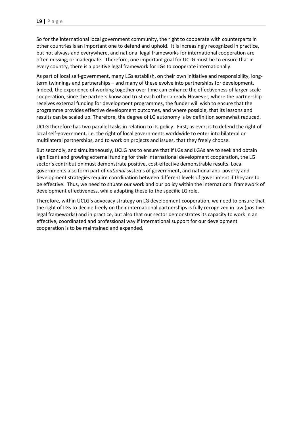So for the international local government community, the right to cooperate with counterparts in other countries is an important one to defend and uphold. It is increasingly recognized in practice, but not always and everywhere, and national legal frameworks for international cooperation are often missing, or inadequate. Therefore, one important goal for UCLG must be to ensure that in every country, there is a positive legal framework for LGs to cooperate internationally.

As part of local self-government, many LGs establish, on their own initiative and responsibility, longterm twinnings and partnerships – and many of these evolve into partnerships for development. Indeed, the experience of working together over time can enhance the effectiveness of larger-scale cooperation, since the partners know and trust each other already.However, where the partnership receives external funding for development programmes, the funder will wish to ensure that the programme provides effective development outcomes, and where possible, that its lessons and results can be scaled up. Therefore, the degree of LG autonomy is by definition somewhat reduced.

UCLG therefore has two parallel tasks in relation to its policy. First, as ever, is to defend the right of local self-government, i.e. the right of local governments worldwide to enter into bilateral or multilateral partnerships, and to work on projects and issues, that they freely choose.

But secondly, and simultaneously, UCLG has to ensure that if LGs and LGAs are to seek and obtain significant and growing external funding for their international development cooperation, the LG sector's contribution must demonstrate positive, cost-effective demonstrable results. Local governments also form part of *national* systems of government, and national anti-poverty and development strategies require coordination between different levels of government if they are to be effective. Thus, we need to situate our work and our policy within the international framework of development effectiveness, while adapting these to the specific LG role.

Therefore, within UCLG's advocacy strategy on LG development cooperation, we need to ensure that the right of LGs to decide freely on their international partnerships is fully recognized in law (positive legal frameworks) and in practice, but also that our sector demonstrates its capacity to work in an effective, coordinated and professional way if international support for our development cooperation is to be maintained and expanded.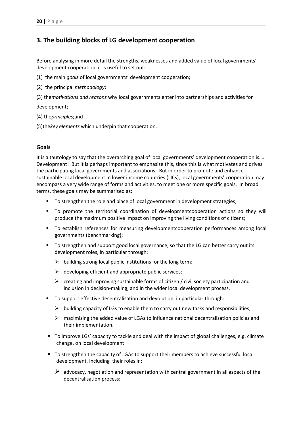# **3. The building blocks of LG development cooperation**

Before analysing in more detail the strengths, weaknesses and added value of local governments' development cooperation, it is useful to set out:

- (1) the main *goals* of local governments' development cooperation;
- (2) the principal *methodology*;
- (3) the*motivations and reasons* why local governments enter into partnerships and activities for

development;

- (4) the*principles*;and
- (5)the*key elements* which underpin that cooperation.

## **Goals**

It is a tautology to say that the overarching goal of local governments' development cooperation is…. Development! But it is perhaps important to emphasize this, since this is what motivates and drives the participating local governments and associations. But in order to promote and enhance sustainable local development in lower income countries (LICs), local governments' cooperation may encompass a very wide range of forms and activities, to meet one or more specific goals. In broad terms, these goals may be summarised as:

- To strengthen the role and place of local government in development strategies;
- To promote the territorial coordination of developmentcooperation actions so they will produce the maximum positive impact on improving the living conditions of citizens;
- To establish references for measuring developmentcooperation performances among local governments (benchmarking);
- To strengthen and support good local governance, so that the LG can better carry out its development roles, in particular through:
	- $\triangleright$  building strong local public institutions for the long term;
	- $\triangleright$  developing efficient and appropriate public services;
	- $\triangleright$  creating and improving sustainable forms of citizen / civil society participation and inclusion in decision-making, and in the wider local development process.
- To support effective decentralisation and devolution, in particular through:
	- $\triangleright$  building capacity of LGs to enable them to carry out new tasks and responsibilities;
	- $\triangleright$  maximising the added value of LGAs to influence national decentralisation policies and their implementation.
- To improve LGs' capacity to tackle and deal with the impact of global challenges, e.g. climate change, on local development.
- To strengthen the capacity of LGAs to support their members to achieve successful local development, including their roles in:
	- $\triangleright$  advocacy, negotiation and representation with central government in all aspects of the decentralisation process;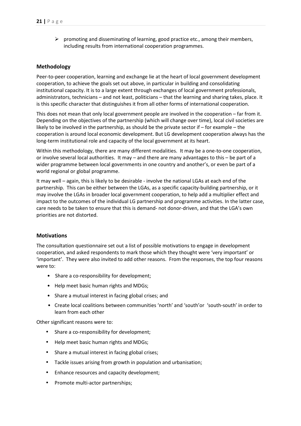$\triangleright$  promoting and disseminating of learning, good practice etc., among their members, including results from international cooperation programmes.

## **Methodology**

Peer-to-peer cooperation, learning and exchange lie at the heart of local government development cooperation, to achieve the goals set out above, in particular in building and consolidating institutional capacity. It is to a large extent through exchanges of local government professionals, administrators, technicians – and not least, politicians – that the learning and sharing takes, place. It is this specific character that distinguishes it from all other forms of international cooperation.

This does not mean that only local government people are involved in the cooperation – far from it. Depending on the objectives of the partnership (which will change over time), local civil societies are likely to be involved in the partnership, as should be the private sector if – for example – the cooperation is around local economic development. But LG development cooperation always has the long-term institutional role and capacity of the local government at its heart.

Within this methodology, there are many different modalities. It may be a one-to-one cooperation, or involve several local authorities. It may – and there are many advantages to this – be part of a wider programme between local governments in one country and another's, or even be part of a world regional or global programme.

It may well – again, this is likely to be desirable - involve the national LGAs at each end of the partnership. This can be either between the LGAs, as a specific capacity-building partnership, or it may involve the LGAs in broader local government cooperation, to help add a multiplier effect and impact to the outcomes of the individual LG partnership and programme activities. In the latter case, care needs to be taken to ensure that this is demand- not donor-driven, and that the LGA's own priorities are not distorted.

#### **Motivations**

The consultation questionnaire set out a list of possible motivations to engage in development cooperation, and asked respondents to mark those which they thought were 'very important' or 'important'. They were also invited to add other reasons. From the responses, the top four reasons were to:

- Share a co-responsibility for development;
- Help meet basic human rights and MDGs;
- Share a mutual interest in facing global crises; and
- Create local coalitions between communities 'north' and 'south'or 'south-south' in order to learn from each other

Other significant reasons were to:

- Share a co-responsibility for development;
- Help meet basic human rights and MDGs;
- Share a mutual interest in facing global crises;
- Tackle issues arising from growth in population and urbanisation;
- Enhance resources and capacity development;
- Promote multi-actor partnerships;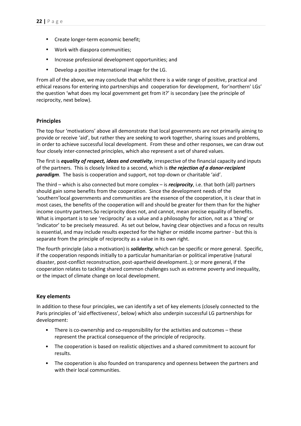- Create longer-term economic benefit;
- Work with diaspora communities;
- Increase professional development opportunities; and
- Develop a positive international image for the LG.

From all of the above, we may conclude that whilst there is a wide range of positive, practical and ethical reasons for entering into partnerships and cooperation for development, for'northern' LGs' the question 'what does my local government get from it?' is secondary (see the principle of reciprocity, next below).

# **Principles**

The top four 'motivations' above all demonstrate that local governments are not primarily aiming to provide or receive 'aid', but rather they are seeking to work together, sharing issues and problems, in order to achieve successful local development. From these and other responses, we can draw out four closely inter-connected principles, which also represent a set of shared values.

The first is *equality of respect, ideas and creativity*, irrespective of the financial capacity and inputs of the partners. This is closely linked to a second, which is *the rejection of a donor-recipient paradigm*. The basis is cooperation and support, not top-down or charitable 'aid'.

The third – which is also connected but more complex – is *reciprocity*, i.e. that both (all) partners should gain some benefits from the cooperation. Since the development needs of the 'southern'local governments and communities are the essence of the cooperation, it is clear that in most cases, the benefits of the cooperation will and should be greater for them than for the higher income country partners.So reciprocity does not, and cannot, mean precise equality of benefits. What is important is to see 'reciprocity' as a value and a philosophy for action, not as a 'thing' or 'indicator' to be precisely measured. As set out below, having clear objectives and a focus on results is essential, and may include results expected for the higher or middle income partner - but this is separate from the principle of reciprocity as a value in its own right.

The fourth principle (also a motivation) is *solidarity*, which can be specific or more general. Specific, if the cooperation responds initially to a particular humanitarian or political imperative (natural disaster, post-conflict reconstruction, post-apartheid development..); or more general, if the cooperation relates to tackling shared common challenges such as extreme poverty and inequality, or the impact of climate change on local development.

# **Key elements**

In addition to these four principles, we can identify a set of key elements (closely connected to the Paris principles of 'aid effectiveness', below) which also underpin successful LG partnerships for development:

- There is co-ownership and co-responsibility for the activities and outcomes these represent the practical consequence of the principle of reciprocity.
- The cooperation is based on realistic objectives and a shared commitment to account for results.
- The cooperation is also founded on transparency and openness between the partners and with their local communities.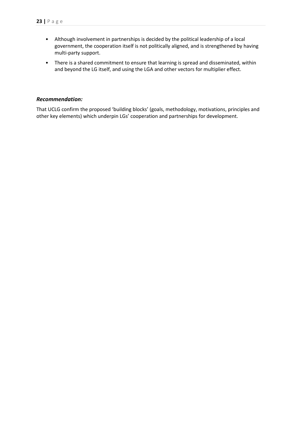- Although involvement in partnerships is decided by the political leadership of a local government, the cooperation itself is not politically aligned, and is strengthened by having multi-party support.
- There is a shared commitment to ensure that learning is spread and disseminated, within and beyond the LG itself, and using the LGA and other vectors for multiplier effect.

## *Recommendation:*

That UCLG confirm the proposed 'building blocks' (goals, methodology, motivations, principles and other key elements) which underpin LGs' cooperation and partnerships for development.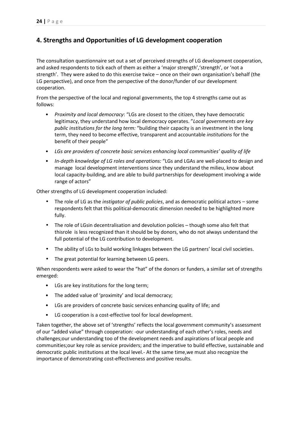# **4. Strengths and Opportunities of LG development cooperation**

The consultation questionnaire set out a set of perceived strengths of LG development cooperation, and asked respondents to tick each of them as either a 'major strength', 'strength', or 'not a strength'. They were asked to do this exercise twice – once on their own organisation's behalf (the LG perspective), and once from the perspective of the donor/funder of our development cooperation.

From the perspective of the local and regional governments, the top 4 strengths came out as follows:

- *Proximity and local democracy*: "LGs are closest to the citizen, they have democratic legitimacy, they understand how local democracy operates. "*Local governments are key public institutions for the long term:* "building their capacity is an investment in the long term, they need to become effective, transparent and accountable *institutions* for the benefit of their people"
- *LGs are providers of concrete basic services enhancing local communities' quality of life*
- *In-depth knowledge of LG roles and operations:* "LGs and LGAs are well-placed to design and manage local development interventions since they understand the milieu, know about local capacity-building, and are able to build partnerships for development involving a wide range of actors"

Other strengths of LG development cooperation included:

- The role of LG as the *instigator of public policies*, and as democratic political actors some respondents felt that this political-democratic dimension needed to be highlighted more fully.
- The role of LGsin decentralisation and devolution policies though some also felt that thisrole is less recognized than it should be by donors, who do not always understand the full potential of the LG contribution to development.
- The ability of LGs to build working linkages between the LG partners' local civil societies.
- The great potential for learning between LG peers.

When respondents were asked to wear the "hat" of the donors or funders, a similar set of strengths emerged:

- LGs are key institutions for the long term;
- The added value of 'proximity' and local democracy;
- LGs are providers of concrete basic services enhancing quality of life; and
- LG cooperation is a cost-effective tool for local development.

Taken together, the above set of 'strengths' reflects the local government community's assessment of our "added value" through cooperation: -our understanding of each other's roles, needs and challenges;our understanding too of the development needs and aspirations of local people and communities;our key role as service providers; and the imperative to build effective, sustainable and democratic public institutions at the local level.- At the same time,we must also recognize the importance of demonstrating cost-effectiveness and positive results.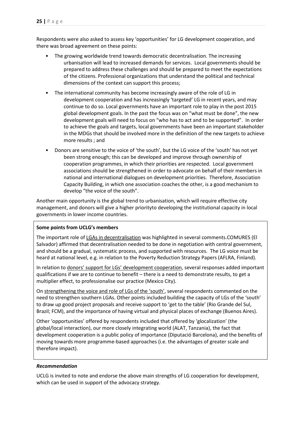Respondents were also asked to assess key 'opportunities' for LG development cooperation, and there was broad agreement on these points:

- The growing worldwide trend towards democratic decentralisation. The increasing urbanisation will lead to increased demands for services. Local governments should be prepared to address these challenges and should be prepared to meet the expectations of the citizens. Professional organizations that understand the political and technical dimensions of the context can support this process;
- The international community has become increasingly aware of the role of LG in development cooperation and has increasingly 'targeted' LG in recent years, and may continue to do so. Local governments have an important role to play in the post 2015 global development goals. In the past the focus was on "what must be done", the new development goals will need to focus on "who has to act and to be supported". In order to achieve the goals and targets, local governments have been an important stakeholder in the MDGs that should be involved more in the definition of the new targets to achieve more results ; and
- Donors are sensitive to the voice of 'the south', but the LG voice of the 'south' has not yet been strong enough; this can be developed and improve through ownership of cooperation programmes, in which their priorities are respected. Local government associations should be strengthened in order to advocate on behalf of their members in national and international dialogues on development priorities. Therefore, Association Capacity Building, in which one association coaches the other, is a good mechanism to develop "the voice of the south".

Another main opportunity is the global trend to urbanisation, which will require effective city management, and donors will give a higher priorityto developing the institutional capacity in local governments in lower income countries.

#### **Some points from UCLG's members**

The important role of LGAs in decentralisation was highlighted in several comments.COMURES (El Salvador) affirmed that decentralisation needed to be done in negotiation with central government, and should be a gradual, systematic process, and supported with resources. The LG voice must be heard at national level, e.g. in relation to the Poverty Reduction Strategy Papers (AFLRA, Finland).

In relation to donors' support for LGs' development cooperation, several responses added important qualifications if we are to continue to benefit – there is a need to demonstrate results, to get a multiplier effect, to professionalise our practice (Mexico City).

On strengthening the voice and role of LGs of the 'south', several respondents commented on the need to strengthen southern LGAs. Other points included building the capacity of LGs of the 'south' to draw up good project proposals and receive support to 'get to the table' (Rio Grande del Sul, Brazil; FCM), and the importance of having virtual and physical places of exchange (Buenos Aires).

Other 'opportunities' offered by respondents included that offered by 'glocalization' (the global/local interaction), our more closely integrating world (ALAT, Tanzania), the fact that development cooperation is a public policy of importance (Diputació Barcelona), and the benefits of moving towards more programme-based approaches (i.e. the advantages of greater scale and therefore impact).

#### *Recommendation*

UCLG is invited to note and endorse the above main strengths of LG cooperation for development, which can be used in support of the advocacy strategy.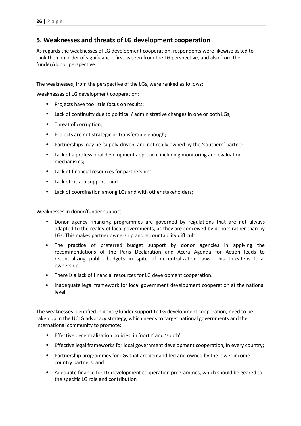# **5. Weaknesses and threats of LG development cooperation**

As regards the weaknesses of LG development cooperation, respondents were likewise asked to rank them in order of significance, first as seen from the LG perspective, and also from the funder/donor perspective.

The weaknesses, from the perspective of the LGs, were ranked as follows:

Weaknesses of LG development cooperation:

- Projects have too little focus on results;
- Lack of continuity due to political / administrative changes in one or both LGs;
- Threat of corruption;
- Projects are not strategic or transferable enough;
- Partnerships may be 'supply-driven' and not really owned by the 'southern' partner;
- Lack of a professional development approach, including monitoring and evaluation mechanisms;
- Lack of financial resources for partnerships;
- Lack of citizen support; and
- Lack of coordination among LGs and with other stakeholders;

Weaknesses in donor/funder support:

- Donor agency financing programmes are governed by regulations that are not always adapted to the reality of local governments, as they are conceived by donors rather than by LGs. This makes partner ownership and accountability difficult.
- The practice of preferred budget support by donor agencies in applying the recommendations of the Paris Declaration and Accra Agenda for Action leads to recentralizing public budgets in spite of decentralization laws. This threatens local ownership.
- There is a lack of financial resources for LG development cooperation.
- Inadequate legal framework for local government development cooperation at the national level.

The weaknesses identified in donor/funder support to LG development cooperation, need to be taken up in the UCLG advocacy strategy, which needs to target national governments and the international community to promote:

- Effective decentralisation policies, in 'north' and 'south';
- Effective legal frameworks for local government development cooperation, in every country;
- Partnership programmes for LGs that are demand-led and owned by the lower income country partners; and
- Adequate finance for LG development cooperation programmes, which should be geared to the specific LG role and contribution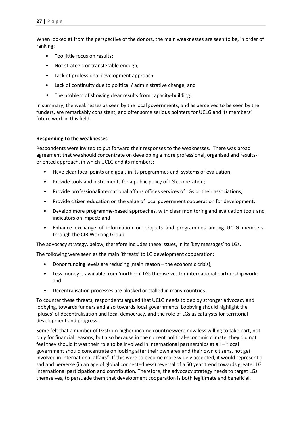When looked at from the perspective of the donors, the main weaknesses are seen to be, in order of ranking:

- Too little focus on results;
- Not strategic or transferable enough;
- Lack of professional development approach;
- Lack of continuity due to political / administrative change; and
- The problem of showing clear results from capacity-building.

In summary, the weaknesses as seen by the local governments, and as perceived to be seen by the funders, are remarkably consistent, and offer some serious pointers for UCLG and its members' future work in this field.

## **Responding to the weaknesses**

Respondents were invited to put forward their responses to the weaknesses. There was broad agreement that we should concentrate on developing a more professional, organised and resultsoriented approach, in which UCLG and its members:

- Have clear focal points and goals in its programmes and systems of evaluation;
- Provide tools and instruments for a public policy of LG cooperation;
- Provide professionalinternational affairs offices services of LGs or their associations;
- Provide citizen education on the value of local government cooperation for development;
- Develop more programme-based approaches, with clear monitoring and evaluation tools and indicators on impact; and
- Enhance exchange of information on projects and programmes among UCLG members, through the CIB Working Group.

The advocacy strategy, below, therefore includes these issues, in its 'key messages' to LGs.

The following were seen as the main 'threats' to LG development cooperation:

- Donor funding levels are reducing (main reason the economic crisis);
- Less money is available from 'northern' LGs themselves for international partnership work; and
- Decentralisation processes are blocked or stalled in many countries.

To counter these threats, respondents argued that UCLG needs to deploy stronger advocacy and lobbying, towards funders and also towards local governments. Lobbying should highlight the 'pluses' of decentralisation and local democracy, and the role of LGs as catalysts for territorial development and progress.

Some felt that a number of LGsfrom higher income countrieswere now less willing to take part, not only for financial reasons, but also because in the current political-economic climate, they did not feel they should it was their role to be involved in international partnerships at all – "local government should concentrate on looking after their own area and their own citizens, not get involved in international affairs". If this were to become more widely accepted, it would represent a sad and perverse (in an age of global connectedness) reversal of a 50 year trend towards greater LG international participation and contribution. Therefore, the advocacy strategy needs to target LGs themselves, to persuade them that development cooperation is both legitimate and beneficial.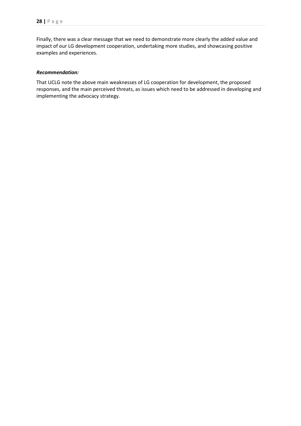Finally, there was a clear message that we need to demonstrate more clearly the added value and impact of our LG development cooperation, undertaking more studies, and showcasing positive examples and experiences.

#### *Recommendation:*

That UCLG note the above main weaknesses of LG cooperation for development, the proposed responses, and the main perceived threats, as issues which need to be addressed in developing and implementing the advocacy strategy.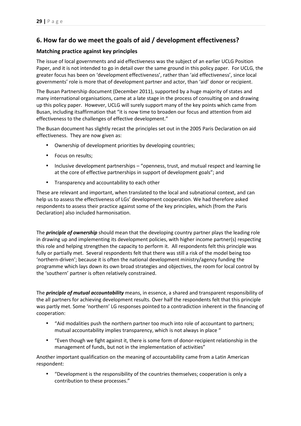# **6. How far do we meet the goals of aid / development effectiveness?**

# **Matching practice against key principles**

The issue of local governments and aid effectiveness was the subject of an earlier UCLG Position Paper, and it is not intended to go in detail over the same ground in this policy paper. For UCLG, the greater focus has been on 'development effectiveness', rather than 'aid effectiveness', since local governments' role is more that of development partner and actor, than 'aid' donor or recipient.

The Busan Partnership document (December 2011), supported by a huge majority of states and many international organisations, came at a late stage in the process of consulting on and drawing up this policy paper. However, UCLG will surely support many of the key points which came from Busan, including itsaffirmation that "it is now time to broaden our focus and attention from aid effectiveness to the challenges of effective development."

The Busan document has slightly recast the principles set out in the 2005 Paris Declaration on aid effectiveness. They are now given as:

- Ownership of development priorities by developing countries;
- Focus on results;
- Inclusive development partnerships "openness, trust, and mutual respect and learning lie at the core of effective partnerships in support of development goals"; and
- Transparency and accountability to each other

These are relevant and important, when translated to the local and subnational context, and can help us to assess the effectiveness of LGs' development cooperation. We had therefore asked respondents to assess their practice against some of the key principles, which (from the Paris Declaration) also included harmonisation.

The *principle of ownership* should mean that the developing country partner plays the leading role in drawing up and implementing its development policies, with higher income partner(s) respecting this role and helping strengthen the capacity to perform it. All respondents felt this principle was fully or partially met. Several respondents felt that there was still a risk of the model being too 'northern-driven'; because it is often the national development ministry/agency funding the programme which lays down its own broad strategies and objectives, the room for local control by the 'southern' partner is often relatively constrained.

The *principle of mutual accountability* means, in essence, a shared and transparent responsibility of the all partners for achieving development results. Over half the respondents felt that this principle was partly met. Some 'northern' LG responses pointed to a contradiction inherent in the financing of cooperation:

- "Aid modalities push the northern partner too much into role of accountant to partners; mutual accountability implies transparency, which is not always in place "
- "Even though we fight against it, there is some form of donor-recipient relationship in the management of funds, but not in the implementation of activities"

Another important qualification on the meaning of accountability came from a Latin American respondent:

• "Development is the responsibility of the countries themselves; cooperation is only a contribution to these processes."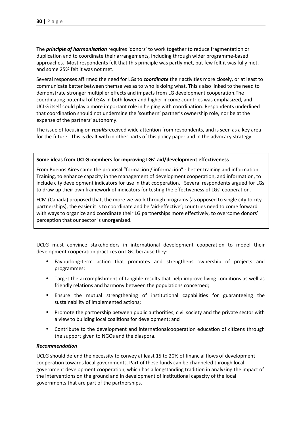The *principle of harmonisation* requires 'donors' to work together to reduce fragmentation or duplication and to coordinate their arrangements, including through wider programme-based approaches. Most respondents felt that this principle was partly met, but few felt it was fully met, and some 25% felt it was not met.

Several responses affirmed the need for LGs to *coordinate* their activities more closely, or at least to communicate better between themselves as to who is doing what. Thisis also linked to the need to demonstrate stronger multiplier effects and impacts from LG development cooperation.The coordinating potential of LGAs in both lower and higher income countries was emphasized, and UCLG itself could play a more important role in helping with coordination. Respondents underlined that coordination should not undermine the 'southern' partner's ownership role, nor be at the expense of the partners' autonomy.

The issue of focusing on *results*received wide attention from respondents, and is seen as a key area for the future. This is dealt with in other parts of this policy paper and in the advocacy strategy.

#### **Some ideas from UCLG members for improving LGs' aid/development effectiveness**

From Buenos Aires came the proposal "formación / información" - better training and information. Training, to enhance capacity in the management of development cooperation, and information, to include city development indicators for use in that cooperation. Several respondents argued for LGs to draw up their own framework of indicators for testing the effectiveness of LGs' cooperation.

FCM (Canada) proposed that, the more we work through programs (as opposed to single city to city partnerships), the easier it is to coordinate and be 'aid-effective'; countries need to come forward with ways to organize and coordinate their LG partnerships more effectively, to overcome donors' perception that our sector is unorganised.

UCLG must convince stakeholders in international development cooperation to model their development cooperation practices on LGs, because they:

- Favourlong-term action that promotes and strengthens ownership of projects and programmes;
- Target the accomplishment of tangible results that help improve living conditions as well as friendly relations and harmony between the populations concerned;
- Ensure the mutual strengthening of institutional capabilities for guaranteeing the sustainability of implemented actions;
- Promote the partnership between public authorities, civil society and the private sector with a view to building local coalitions for development; and
- Contribute to the development and internationalcooperation education of citizens through the support given to NGOs and the diaspora.

#### *Recommendation*

UCLG should defend the necessity to convey at least 15 to 20% of financial flows of development cooperation towards local governments. Part of these funds can be channeled through local government development cooperation, which has a longstanding tradition in analyzing the impact of the interventions on the ground and in development of institutional capacity of the local governments that are part of the partnerships.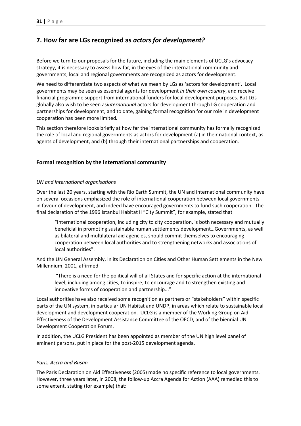# **7. How far are LGs recognized as** *actors for development?*

Before we turn to our proposals for the future, including the main elements of UCLG's advocacy strategy, it is necessary to assess how far, in the eyes of the international community and governments, local and regional governments are recognized as actors for development.

We need to differentiate two aspects of what we mean by LGs as 'actors for development'. Local governments may be seen as essential agents for development *in their own country*, and receive financial programme support from international funders for local development purposes. But LGs globally also wish to be seen as*international* actors for development through LG cooperation and partnerships for development, and to date, gaining formal recognition for our role in development cooperation has been more limited*.*

This section therefore looks briefly at how far the international community has formally recognized the role of local and regional governments as actors for development (a) in their national context, as agents of development, and (b) through their international partnerships and cooperation.

# **Formal recognition by the international community**

## *UN and international organisations*

Over the last 20 years, starting with the Rio Earth Summit, the UN and international community have on several occasions emphasized the role of international cooperation between local governments in favour of development, and indeed have encouraged governments to fund such cooperation. The final declaration of the 1996 Istanbul Habitat II "City Summit", for example, stated that

"International cooperation, including city to city cooperation, is both necessary and mutually beneficial in promoting sustainable human settlements development…Governments, as well as bilateral and multilateral aid agencies, should commit themselves to encouraging cooperation between local authorities and to strengthening networks and associations of local authorities".

And the UN General Assembly, in its Declaration on Cities and Other Human Settlements in the New Millennium, 2001, affirmed

 "There is a need for the political will of all States and for specific action at the international level, including among cities, to inspire, to encourage and to strengthen existing and innovative forms of cooperation and partnership..."

Local authorities have also received some recognition as partners or "stakeholders" within specific parts of the UN system, in particular UN Habitat and UNDP, in areas which relate to sustainable local development and development cooperation. UCLG is a member of the Working Group on Aid Effectiveness of the Development Assistance Committee of the OECD, and of the biennial UN Development Cooperation Forum.

In addition, the UCLG President has been appointed as member of the UN high level panel of eminent persons, put in place for the post-2015 development agenda.

#### *Paris, Accra and Busan*

The Paris Declaration on Aid Effectiveness (2005) made no specific reference to local governments. However, three years later, in 2008, the follow-up Accra Agenda for Action (AAA) remedied this to some extent, stating (for example) that: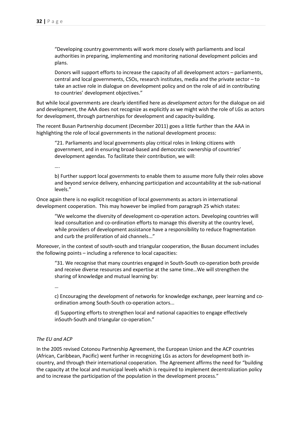"Developing country governments will work more closely with parliaments and local authorities in preparing, implementing and monitoring national development policies and plans.

Donors will support efforts to increase the capacity of all development actors – parliaments, central and local governments, CSOs, research institutes, media and the private sector – to take an active role in dialogue on development policy and on the role of aid in contributing to countries' development objectives."

But while local governments are clearly identified here as *development actors* for the dialogue on aid and development, the AAA does not recognize as explicitly as we might wish the role of LGs as actors for development, through partnerships for development and capacity-building.

The recent Busan Partnership document (December 2011) goes a little further than the AAA in highlighting the role of local governments in the national development process:

"21. Parliaments and local governments play critical roles in linking citizens with government, and in ensuring broad-based and democratic ownership of countries' development agendas. To facilitate their contribution, we will:

….

b) Further support local governments to enable them to assume more fully their roles above and beyond service delivery, enhancing participation and accountability at the sub-national levels."

Once again there is no explicit recognition of local governments as actors in international development cooperation. This may however be implied from paragraph 25 which states:

"We welcome the diversity of development co-operation actors. Developing countries will lead consultation and co-ordination efforts to manage this diversity at the country level, while providers of development assistance have a responsibility to reduce fragmentation and curb the proliferation of aid channels..."

Moreover, in the context of south-south and triangular cooperation, the Busan document includes the following points – including a reference to local capacities:

"31. We recognise that many countries engaged in South-South co-operation both provide and receive diverse resources and expertise at the same time…We will strengthen the sharing of knowledge and mutual learning by:

…

c) Encouraging the development of networks for knowledge exchange, peer learning and coordination among South-South co-operation actors...

d) Supporting efforts to strengthen local and national capacities to engage effectively inSouth-South and triangular co-operation."

#### *The EU and ACP*

In the 2005 revised Cotonou Partnership Agreement, the European Union and the ACP countries (African, Caribbean, Pacific) went further in recognizing LGs as actors for development both incountry, and through their international cooperation. The Agreement affirms the need for "building the capacity at the local and municipal levels which is required to implement decentralization policy and to increase the participation of the population in the development process."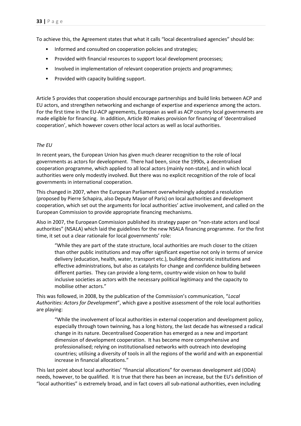To achieve this, the Agreement states that what it calls "local decentralised agencies" should be:

- Informed and consulted on cooperation policies and strategies;
- Provided with financial resources to support local development processes;
- Involved in implementation of relevant cooperation projects and programmes;
- Provided with capacity building support.

Article 5 provides that cooperation should encourage partnerships and build links between ACP and EU actors, and strengthen networking and exchange of expertise and experience among the actors. For the first time in the EU-ACP agreements, European as well as ACP country local governments are made eligible for financing. In addition, Article 80 makes provision for financing of 'decentralised cooperation', which however covers other local actors as well as local authorities.

## *The EU*

In recent years, the European Union has given much clearer recognition to the role of local governments as actors for development. There had been, since the 1990s, a decentralised cooperation programme, which applied to all local actors (mainly non-state), and in which local authorities were only modestly involved. But there was no explicit recognition of the role of local governments in international cooperation.

This changed in 2007, when the European Parliament overwhelmingly adopted a resolution (proposed by Pierre Schapira, also Deputy Mayor of Paris) on local authorities and development cooperation, which set out the arguments for local authorities' active involvement, and called on the European Commission to provide appropriate financing mechanisms.

Also in 2007, the European Commission published its strategy paper on "non-state actors and local authorities" (NSALA) which laid the guidelines for the new NSALA financing programme. For the first time, it set out a clear rationale for local governments' role:

"While they are part of the state structure, local authorities are much closer to the citizen than other public institutions and may offer significant expertise not only in terms of service delivery (education, health, water, transport etc.), building democratic institutions and effective administrations, but also as catalysts for change and confidence building between different parties. They can provide a long-term, country-wide vision on how to build inclusive societies as actors with the necessary political legitimacy and the capacity to mobilise other actors."

This was followed, in 2008, by the publication of the Commission's communication, "*Local Authorities: Actors for Development*", which gave a positive assessment of the role local authorities are playing:

"While the involvement of local authorities in external cooperation and development policy, especially through town twinning, has a long history, the last decade has witnessed a radical change in its nature. Decentralised Cooperation has emerged as a new and important dimension of development cooperation. It has become more comprehensive and professionalised; relying on institutionalised networks with outreach into developing countries; utilising a diversity of tools in all the regions of the world and with an exponential increase in financial allocations."

This last point about local authorities' "financial allocations" for overseas development aid (ODA) needs, however, to be qualified. It is true that there has been an increase, but the EU's definition of "local authorities" is extremely broad, and in fact covers all sub-national authorities, even including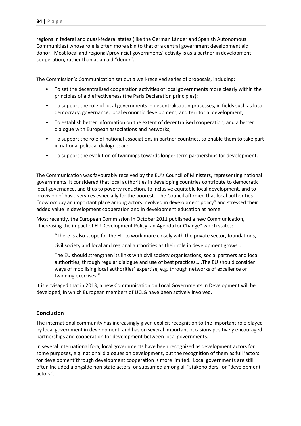regions in federal and quasi-federal states (like the German Länder and Spanish Autonomous Communities) whose role is often more akin to that of a central government development aid donor. Most local and regional/provincial governments' activity is as a partner in development cooperation, rather than as an aid "donor".

The Commission's Communication set out a well-received series of proposals, including:

- To set the decentralised cooperation activities of local governments more clearly within the principles of aid effectiveness (the Paris Declaration principles);
- To support the role of local governments in decentralisation processes, in fields such as local democracy, governance, local economic development, and territorial development;
- To establish better information on the extent of decentralised cooperation, and a better dialogue with European associations and networks;
- To support the role of national associations in partner countries, to enable them to take part in national political dialogue; and
- To support the evolution of twinnings towards longer term partnerships for development.

The Communication was favourably received by the EU's Council of Ministers, representing national governments. It considered that local authorities in developing countries contribute to democratic local governance, and thus to poverty reduction, to inclusive equitable local development, and to provision of basic services especially for the poorest. The Council affirmed that local authorities "now occupy an important place among actors involved in development policy" and stressed their added value in development cooperation and in development education at home.

Most recently, the European Commission in October 2011 published a new Communication, "Increasing the impact of EU Development Policy: an Agenda for Change" which states:

"There is also scope for the EU to work more closely with the private sector, foundations,

civil society and local and regional authorities as their role in development grows…

The EU should strengthen its links with civil society organisations, social partners and local authorities, through regular dialogue and use of best practices…..The EU should consider ways of mobilising local authorities' expertise, e.g. through networks of excellence or twinning exercises."

It is envisaged that in 2013, a new Communication on Local Governments in Development will be developed, in which European members of UCLG have been actively involved.

# **Conclusion**

The international community has increasingly given explicit recognition to the important role played by local government in development, and has on several important occasions positively encouraged partnerships and cooperation for development between local governments.

In several international fora, local governments have been recognized as development actors for some purposes, e.g. national dialogues on development, but the recognition of them as full 'actors for development'through development cooperation is more limited. Local governments are still often included alongside non-state actors, or subsumed among all "stakeholders" or "development actors".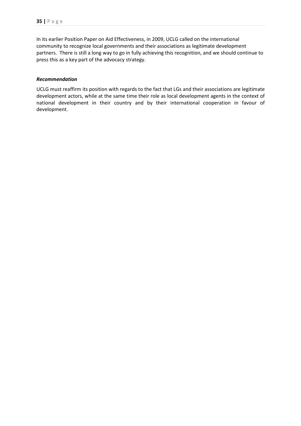In its earlier Position Paper on Aid Effectiveness, in 2009, UCLG called on the international community to recognize local governments and their associations as legitimate development partners. There is still a long way to go in fully achieving this recognition, and we should continue to press this as a key part of the advocacy strategy.

#### *Recommendation*

UCLG must reaffirm its position with regards to the fact that LGs and their associations are legitimate development actors, while at the same time their role as local development agents in the context of national development in their country and by their international cooperation in favour of development.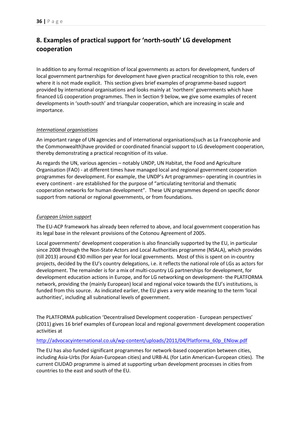# **8. Examples of practical support for 'north-south' LG development cooperation**

In addition to any formal recognition of local governments as actors for development, funders of local government partnerships for development have given practical recognition to this role, even where it is not made explicit. This section gives brief examples of programme-based support provided by international organisations and looks mainly at 'northern' governments which have financed LG cooperation programmes. Then in Section 9 below, we give some examples of recent developments in 'south-south' and triangular cooperation, which are increasing in scale and importance.

## *International organisations*

An important range of UN agencies and of international organisations(such as La Francophonie and the Commonwealth)have provided or coordinated financial support to LG development cooperation, thereby demonstrating a practical recognition of its value.

As regards the UN, various agencies – notably UNDP, UN Habitat, the Food and Agriculture Organisation (FAO) - at different times have managed local and regional government cooperation programmes for development. For example, the UNDP's Art programmes– operating in countries in every continent - are established for the purpose of "articulating territorial and thematic cooperation networks for human development". These UN programmes depend on specific donor support from national or regional governments, or from foundations.

# *European Union support*

The EU-ACP framework has already been referred to above, and local government cooperation has its legal base in the relevant provisions of the Cotonou Agreement of 2005.

Local governments' development cooperation is also financially supported by the EU, in particular since 2008 through the Non-State Actors and Local Authorities programme (NSALA), which provides (till 2013) around €30 million per year for local governments. Most of this is spent on in-country projects, decided by the EU's country delegations, i.e. it reflects the national role of LGs as actors for development. The remainder is for a mix of multi-country LG partnerships for development, for development education actions in Europe, and for LG networking on development- the PLATFORMA network, providing the (mainly European) local and regional voice towards the EU's institutions, is funded from this source. As indicated earlier, the EU gives a very wide meaning to the term 'local authorities', including all subnational levels of government.

The PLATFORMA publication 'Decentralised Development cooperation - European perspectives' (2011) gives 16 brief examples of European local and regional government development cooperation activities at

#### http://advocacyinternational.co.uk/wp-content/uploads/2011/04/Platforma\_60p\_ENlow.pdf

The EU has also funded significant programmes for network-based cooperation between cities, including Asia-Urbs (for Asian-European cities) and URB-AL (for Latin American-European cities). The current CIUDAD programme is aimed at supporting urban development processes in cities from countries to the east and south of the EU.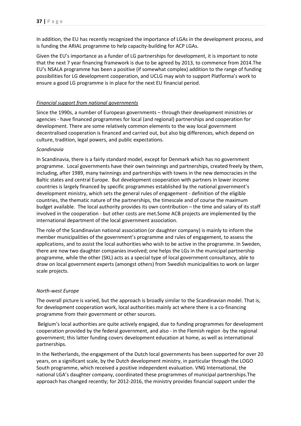In addition, the EU has recently recognized the importance of LGAs in the development process, and is funding the ARIAL programme to help capacity-building for ACP LGAs.

Given the EU's importance as a funder of LG partnerships for development, it is important to note that the next 7 year financing framework is due to be agreed by 2013, to commence from 2014.The EU's NSALA programme has been a positive (if somewhat complex) addition to the range of funding possibilities for LG development cooperation, and UCLG may wish to support Platforma's work to ensure a good LG programme is in place for the next EU financial period.

## *Financial support from national governments*

Since the 1990s, a number of European governments – through their development ministries or agencies - have financed programmes for local (and regional) partnerships and cooperation for development. There are some relatively common elements to the way local government decentralised cooperation is financed and carried out, but also big differences, which depend on culture, tradition, legal powers, and public expectations.

## *Scandinavia*

In Scandinavia, there is a fairly standard model, except for Denmark which has no government programme. Local governments have their own twinnings and partnerships, created freely by them, including, after 1989, many twinnings and partnerships with towns in the new democracies in the Baltic states and central Europe. But development cooperation with partners in lower income countries is largely financed by specific programmes established by the national government's development ministry, which sets the general rules of engagement - definition of the eligible countries, the thematic nature of the partnerships, the timescale and of course the maximum budget available. The local authority provides its own contribution – the time and salary of its staff involved in the cooperation - but other costs are met.Some ACB projects are implemented by the international department of the local government association.

The role of the Scandinavian national association (or daughter company) is mainly to inform the member municipalities of the government's programme and rules of engagement, to assess the applications, and to assist the local authorities who wish to be active in the programme. In Sweden, there are now two daughter companies involved; one helps the LGs in the municipal partnership programme, while the other (SKL) acts as a special type of local government consultancy, able to draw on local government experts (amongst others) from Swedish municipalities to work on larger scale projects.

#### *North-west Europe*

The overall picture is varied, but the approach is broadly similar to the Scandinavian model. That is, for development cooperation work, local authorities mainly act where there is a co-financing programme from their government or other sources.

 Belgium's local authorities are quite actively engaged, due to funding programmes for development cooperation provided by the federal government, and also - in the Flemish region -by the regional government; this latter funding covers development education at home, as well as international partnerships.

In the Netherlands, the engagement of the Dutch local governments has been supported for over 20 years, on a significant scale, by the Dutch development ministry, in particular through the LOGO South programme, which received a positive independent evaluation. VNG International, the national LGA's daughter company, coordinated these programmes of municipal partnerships.The approach has changed recently; for 2012-2016, the ministry provides financial support under the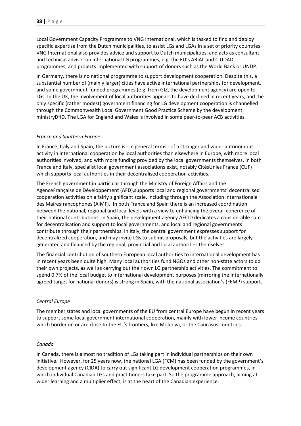Local Government Capacity Programme to VNG International, which is tasked to find and deploy specific expertise from the Dutch municipalities, to assist LGs and LGAs in a set of priority countries. VNG International also provides advice and support to Dutch municipalities, and acts as consultant and technical adviser on international LG programmes, e.g. the EU's ARIAL and CIUDAD programmes, and projects implemented with support of donors such as the World Bank or UNDP.

In Germany, there is no national programme to support development cooperation. Despite this, a substantial number of (mainly larger) cities have active international partnerships for development, and some government-funded programmes (e.g. from GIZ, the development agency) are open to LGs. In the UK, the involvement of local authorities appears to have declined in recent years, and the only specific (rather modest) government financing for LG development cooperation is channelled through the Commonwealth Local Government Good Practice Scheme by the development ministryDfID. The LGA for England and Wales is involved in some peer-to-peer ACB activities.

## *France and Southern Europe*

In France, Italy and Spain, the picture is - in general terms - of a stronger and wider autonomous activity in international cooperation by local authorities than elsewhere in Europe, with more local authorities involved, and with more funding provided by the local governments themselves. In both France and Italy, specialist local government associations exist, notably CitésUnies France (CUF) which supports local authorities in their decentralised cooperation activities.

The French government,in particular through the Ministry of Foreign Affairs and the AgenceFrançaise de Développement (AFD),supports local and regional governments' decentralised cooperation activities on a fairly significant scale, including through the Association internationale des Mairesfrancophones (AIMF). In both France and Spain there is an increased coordination between the national, regional and local levels with a view to enhancing the overall coherence of their national contributions. In Spain, the development agency AECID dedicates a considerable sum for decentralisation and support to local governments, and local and regional governments contribute through their partnerships. In Italy, the central government expresses support for decentralized cooperation, and may invite LGs to submit proposals, but the activities are largely generated and financed by the regional, provincial and local authorities themselves.

The financial contribution of southern European local authorities to international development has in recent years been quite high. Many local authorities fund NGOs and other non-state actors to do their own projects, as well as carrying out their own LG partnership activities. The commitment to spend 0.7% of the local budget to international development purposes (mirroring the internationally agreed target for national donors) is strong in Spain, with the national association's (FEMP) support.

#### *Central Europe*

The member states and local governments of the EU from central Europe have begun in recent years to support some local government international cooperation, mainly with lower income countries which border on or are close to the EU's frontiers, like Moldova, or the Caucasus countries.

#### *Canada*

In Canada, there is almost no tradition of LGs taking part in individual partnerships on their own initiative. However, for 25 years now, the national LGA (FCM) has been funded by the government's development agency (CIDA) to carry out significant LG development cooperation programmes, in which individual Canadian LGs and practitioners take part. So the programme approach, aiming at wider learning and a multiplier effect, is at the heart of the Canadian experience.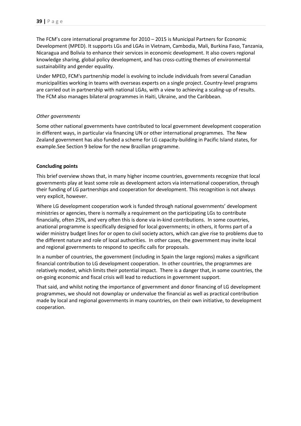The FCM's core international programme for 2010 – 2015 is Municipal Partners for Economic Development (MPED). It supports LGs and LGAs in Vietnam, Cambodia, Mali, Burkina Faso, Tanzania, Nicaragua and Bolivia to enhance their services in economic development. It also covers regional knowledge sharing, global policy development, and has cross-cutting themes of environmental sustainability and gender equality.

Under MPED, FCM's partnership model is evolving to include individuals from several Canadian municipalities working in teams with overseas experts on a single project. Country-level programs are carried out in partnership with national LGAs, with a view to achieving a scaling-up of results. The FCM also manages bilateral programmes in Haiti, Ukraine, and the Caribbean.

#### *Other governments*

Some other national governments have contributed to local government development cooperation in different ways, in particular via financing UN or other international programmes. The New Zealand government has also funded a scheme for LG capacity-building in Pacific Island states, for example.See Section 9 below for the new Brazilian programme.

## **Concluding points**

This brief overview shows that, in many higher income countries, governments recognize that local governments play at least some role as development actors via international cooperation, through their funding of LG partnerships and cooperation for development. This recognition is not always very explicit, however.

Where LG development cooperation work is funded through national governments' development ministries or agencies, there is normally a requirement on the participating LGs to contribute financially, often 25%, and very often this is done via in-kind contributions. In some countries, anational programme is specifically designed for local governments; in others, it forms part of a wider ministry budget lines for or open to civil society actors, which can give rise to problems due to the different nature and role of local authorities. In other cases, the government may invite local and regional governments to respond to specific calls for proposals.

In a number of countries, the government (including in Spain the large regions) makes a significant financial contribution to LG development cooperation. In other countries, the programmes are relatively modest, which limits their potential impact. There is a danger that, in some countries, the on-going economic and fiscal crisis will lead to reductions in government support.

That said, and whilst noting the importance of government and donor financing of LG development programmes, we should not downplay or undervalue the financial as well as practical contribution made by local and regional governments in many countries, on their own initiative, to development cooperation.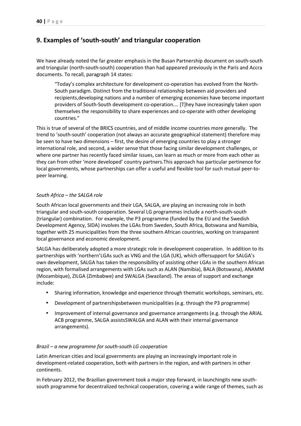# **9. Examples of 'south-south' and triangular cooperation**

We have already noted the far greater emphasis in the Busan Partnership document on south-south and triangular (north-south-south) cooperation than had appeared previously in the Paris and Accra documents. To recall, paragraph 14 states:

"Today's complex architecture for development co-operation has evolved from the North-South paradigm. Distinct from the traditional relationship between aid providers and recipients,developing nations and a number of emerging economies have become important providers of South-South development co-operation.… [T]hey have increasingly taken upon themselves the responsibility to share experiences and co-operate with other developing countries."

This is true of several of the BRICS countries, and of middle income countries more generally. The trend to 'south-south' cooperation (not always an accurate geographical statement) therefore may be seen to have two dimensions – first, the desire of emerging countries to play a stronger international role, and second, a wider sense that those facing similar development challenges, or where one partner has recently faced similar issues, can learn as much or more from each other as they can from other 'more developed' country partners.This approach has particular pertinence for local governments, whose partnerships can offer a useful and flexible tool for such mutual peer-topeer learning.

#### *South Africa – the SALGA role*

South African local governments and their LGA, SALGA, are playing an increasing role in both triangular and south-south cooperation. Several LG programmes include a north-south-south (triangular) combination. For example, the P3 programme (funded by the EU and the Swedish Development Agency, SIDA) involves the LGAs from Sweden, South Africa, Botswana and Namibia, together with 25 municipalities from the three southern African countries, working on transparent local governance and economic development.

SALGA has deliberately adopted a more strategic role in development cooperation. In addition to its partnerships with 'northern'LGAs such as VNG and the LGA (UK), which offersupport for SALGA's own development, SALGA has taken the responsibility of assisting other LGAs in the southern African region, with formalised arrangements with LGAs such as ALAN (Namibia), BALA (Botswana), ANAMM (Mozambique), ZILGA (Zimbabwe) and SWALGA (Swaziland). The areas of support and exchange include:

- Sharing information, knowledge and experience through thematic workshops, seminars, etc.
- Development of partnershipsbetween municipalities (e.g. through the P3 programme)
- Improvement of internal governance and governance arrangements (e.g. through the ARIAL ACB programme, SALGA assistsSWALGA and ALAN with their internal governance arrangements).

#### *Brazil – a new programme for south-south LG cooperation*

Latin American cities and local governments are playing an increasingly important role in development-related cooperation, both with partners in the region, and with partners in other continents.

In February 2012, the Brazilian government took a major step forward, in launchingits new southsouth programme for decentralized technical cooperation, covering a wide range of themes, such as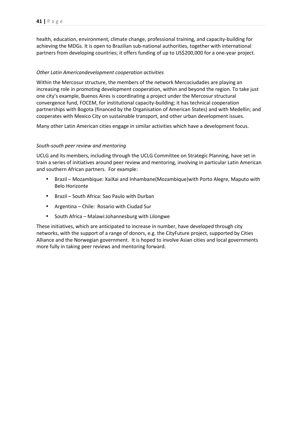health, education, environment, climate change, professional training, and capacity-building for achieving the MDGs. It is open to Brazilian sub-national authorities, together with international partners from developing countries; it offers funding of up to US\$200,000 for a one-year project.

## *Other Latin Americandevelopment cooperation activities*

Within the Mercosur structure, the members of the network Mercociudades are playing an increasing role in promoting development cooperation, within and beyond the region. To take just one city's example, Buenos Aires is coordinating a project under the Mercosur structural convergence fund, FOCEM, for institutional capacity-building; it has technical cooperation partnerships with Bogota (financed by the Organisation of American States) and with Medellin; and cooperates with Mexico City on sustainable transport, and other urban development issues.

Many other Latin American cities engage in similar activities which have a development focus.

## *South-south peer review and mentoring*

UCLG and its members, including through the UCLG Committee on Strategic Planning, have set in train a series of initiatives around peer review and mentoring, involving in particular Latin American and southern African partners. For example:

- Brazil Mozambique: XaiXai and Inhambane(Mozambique)with Porto Alegre, Maputo with Belo Horizonte
- Brazil South Africa: Sao Paulo with Durban
- Argentina Chile: Rosario with Ciudad Sur
- South Africa Malawi:Johannesburg with Lilongwe

These initiatives, which are anticipated to increase in number, have developed through city networks, with the support of a range of donors, e.g. the CityFuture project, supported by Cities Alliance and the Norwegian government. It is hoped to involve Asian cities and local governments more fully in taking peer reviews and mentoring forward.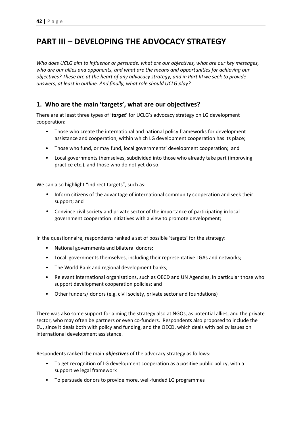# **PART III – DEVELOPING THE ADVOCACY STRATEGY**

*Who does UCLG aim to influence or persuade, what are our objectives, what are our key messages, who are our allies and opponents, and what are the means and opportunities for achieving our objectives? These are at the heart of any advocacy strategy, and in Part III we seek to provide answers, at least in outline. And finally, what role should UCLG play?* 

# **1. Who are the main 'targets', what are our objectives?**

There are at least three types of '*target*' for UCLG's advocacy strategy on LG development cooperation:

- Those who create the international and national policy frameworks for development assistance and cooperation, within which LG development cooperation has its place;
- Those who fund, or may fund, local governments' development cooperation; and
- Local governments themselves, subdivided into those who already take part (improving practice etc.), and those who do not yet do so.

We can also highlight "indirect targets", such as:

- Inform citizens of the advantage of international community cooperation and seek their support; and
- Convince civil society and private sector of the importance of participating in local government cooperation initiatives with a view to promote development;

In the questionnaire, respondents ranked a set of possible 'targets' for the strategy:

- National governments and bilateral donors;
- Local governments themselves, including their representative LGAs and networks;
- The World Bank and regional development banks;
- Relevant international organisations, such as OECD and UN Agencies, in particular those who support development cooperation policies; and
- Other funders/ donors (e.g. civil society, private sector and foundations)

There was also some support for aiming the strategy also at NGOs, as potential allies, and the private sector, who may often be partners or even co-funders. Respondents also proposed to include the EU, since it deals both with policy and funding, and the OECD, which deals with policy issues on international development assistance.

Respondents ranked the main *objectives* of the advocacy strategy as follows:

- To get recognition of LG development cooperation as a positive public policy, with a supportive legal framework
- To persuade donors to provide more, well-funded LG programmes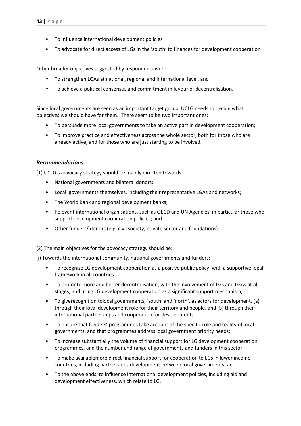- To influence international development policies
- To advocate for direct access of LGs in the 'south' to finances for development cooperation

Other broader objectives suggested by respondents were:

- To strengthen LGAs at national, regional and international level, and
- To achieve a political consensus and commitment in favour of decentralisation.

Since local governments are seen as an important target group, UCLG needs to decide what objectives we should have for them. There seem to be two important ones:

- To persuade more local governments to take an active part in development cooperation;
- To improve practice and effectiveness across the whole sector, both for those who are already active, and for those who are just starting to be involved.

## *Recommendations*

(1) UCLG's advocacy strategy should be mainly directed towards:

- National governments and bilateral donors;
- Local governments themselves, including their representative LGAs and networks;
- The World Bank and regional development banks;
- Relevant international organisations, such as OECD and UN Agencies, in particular those who support development cooperation policies; and
- Other funders/ donors (e.g. civil society, private sector and foundations)

(2) The main objectives for the advocacy strategy should be:

(i) Towards the international community, national governments and funders:

- To recognize LG development cooperation as a positive public policy, with a supportive legal framework in all countries
- To promote more and better decentralisation, with the involvement of LGs and LGAs at all stages, and using LG development cooperation as a significant support mechanism;
- To giverecognition tolocal governments, 'south' and 'north', as actors for development, (a) through their local development role for their territory and people, and (b) through their international partnerships and cooperation for development;
- To ensure that funders' programmes take account of the specific role and reality of local governments, and that programmes address local government priority needs;
- To increase substantially the volume of financial support for LG development cooperation programmes, and the number and range of governments and funders in this sector;
- To make availablemore direct financial support for cooperation to LGs in lower income countries, including partnerships development between local governments; and
- To the above ends, to influence international development policies, including aid and development effectiveness, which relate to LG.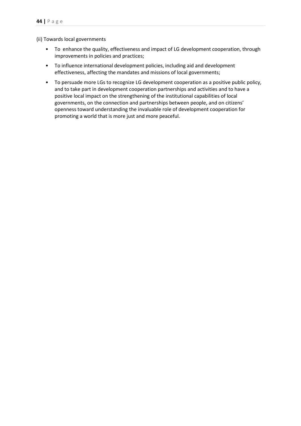(ii) Towards local governments

- To enhance the quality, effectiveness and impact of LG development cooperation, through improvements in policies and practices;
- To influence international development policies, including aid and development effectiveness, affecting the mandates and missions of local governments;
- To persuade more LGs to recognize LG development cooperation as a positive public policy, and to take part in development cooperation partnerships and activities and to have a positive local impact on the strengthening of the institutional capabilities of local governments, on the connection and partnerships between people, and on citizens' openness toward understanding the invaluable role of development cooperation for promoting a world that is more just and more peaceful.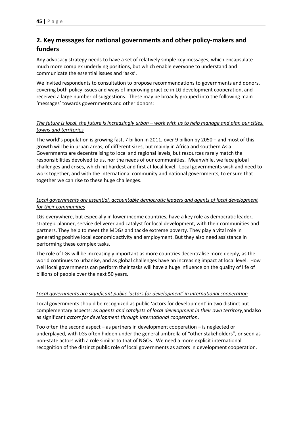# **2. Key messages for national governments and other policy-makers and funders**

Any advocacy strategy needs to have a set of relatively simple key messages, which encapsulate much more complex underlying positions, but which enable everyone to understand and communicate the essential issues and 'asks'.

We invited respondents to consultation to propose recommendations to governments and donors, covering both policy issues and ways of improving practice in LG development cooperation, and received a large number of suggestions. These may be broadly grouped into the following main 'messages' towards governments and other donors:

# *The future is local, the future is increasingly urban – work with us to help manage and plan our cities, towns and territories*

The world's population is growing fast, 7 billion in 2011, over 9 billion by 2050 – and most of this growth will be in urban areas, of different sizes, but mainly in Africa and southern Asia. Governments are decentralising to local and regional levels, but resources rarely match the responsibilities devolved to us, nor the needs of our communities. Meanwhile, we face global challenges and crises, which hit hardest and first at local level. Local governments wish and need to work together, and with the international community and national governments, to ensure that together we can rise to these huge challenges.

# *Local governments are essential, accountable democratic leaders and agents of local development for their communities*

LGs everywhere, but especially in lower income countries, have a key role as democratic leader, strategic planner, service deliverer and catalyst for local development, with their communities and partners. They help to meet the MDGs and tackle extreme poverty. They play a vital role in generating positive local economic activity and employment. But they also need assistance in performing these complex tasks.

The role of LGs will be increasingly important as more countries decentralise more deeply, as the world continues to urbanise, and as global challenges have an increasing impact at local level. How well local governments can perform their tasks will have a huge influence on the quality of life of billions of people over the next 50 years.

# *Local governments are significant public 'actors for development' in international cooperation*

Local governments should be recognized as public 'actors for development' in two distinct but complementary aspects: as *agents and catalysts of local development in their own territory*,andalso as significant *actors for development through international cooperation*.

Too often the second aspect – as partners in development cooperation – is neglected or underplayed, with LGs often hidden under the general umbrella of "other stakeholders", or seen as non-state actors with a role similar to that of NGOs. We need a more explicit international recognition of the distinct public role of local governments as actors in development cooperation.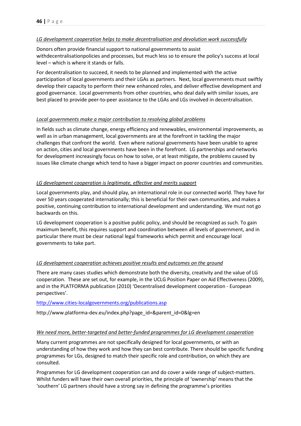#### *LG development cooperation helps to make decentralisation and devolution work successfully*

Donors often provide financial support to national governments to assist withdecentralisationpolicies and processes, but much less so to ensure the policy's success at local level – which is where it stands or falls.

For decentralisation to succeed, it needs to be planned and implemented with the active participation of local governments and their LGAs as partners. Next, local governments must swiftly develop their capacity to perform their new enhanced roles, and deliver effective development and good governance. Local governments from other countries, who deal daily with similar issues, are best placed to provide peer-to-peer assistance to the LGAs and LGs involved in decentralisation.

## *Local governments make a major contribution to resolving global problems*

In fields such as climate change, energy efficiency and renewables, environmental improvements, as well as in urban management, local governments are at the forefront in tackling the major challenges that confront the world. Even where national governments have been unable to agree on action, cities and local governments have been in the forefront. LG partnerships and networks for development increasingly focus on how to solve, or at least mitigate, the problems caused by issues like climate change which tend to have a bigger impact on poorer countries and communities.

## *LG development cooperation is legitimate, effective and merits support*

Local governments play, and should play, an international role in our connected world. They have for over 50 years cooperated internationally; this is beneficial for their own communities, and makes a positive, continuing contribution to international development and understanding. We must not go backwards on this.

LG development cooperation is a positive public policy, and should be recognized as such. To gain maximum benefit, this requires support and coordination between all levels of government, and in particular there must be clear national legal frameworks which permit and encourage local governments to take part.

# *LG development cooperation achieves positive results and outcomes on the ground*

There are many cases studies which demonstrate both the diversity, creativity and the value of LG cooperation. These are set out, for example, in the UCLG Position Paper on Aid Effectiveness (2009), and in the PLATFORMA publication (2010) 'Decentralised development cooperation - European perspectives'.

#### http://www.cities-localgovernments.org/publications.asp

http://www.platforma-dev.eu/index.php?page\_id=&parent\_id=0&lg=en

#### *We need more, better-targeted and better-funded programmes for LG development cooperation*

Many current programmes are not specifically designed for local governments, or with an understanding of how they work and how they can best contribute. There should be specific funding programmes for LGs, designed to match their specific role and contribution, on which they are consulted.

Programmes for LG development cooperation can and do cover a wide range of subject-matters. Whilst funders will have their own overall priorities, the principle of 'ownership' means that the 'southern' LG partners should have a strong say in defining the programme's priorities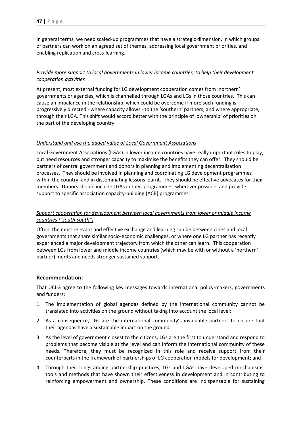In general terms, we need scaled-up programmes that have a strategic dimension, in which groups of partners can work on an agreed set of themes, addressing local government priorities, and enabling replication and cross-learning.

# *Provide more support to local governments in lower income countries, to help their development cooperation activities*

At present, most external funding for LG development cooperation comes from 'northern' governments or agencies, which is channelled through LGAs and LGs in those countries. This can cause an imbalance in the relationship, which could be overcome if more such funding is progressively directed - where capacity allows - to the 'southern' partners, and where appropriate, through their LGA. This shift would accord better with the principle of 'ownership' of priorities on the part of the developing country.

## *Understand and use the added value of Local Government Associations*

Local Government Associations (LGAs) in lower income countries have really important roles to play, but need resources and stronger capacity to maximise the benefits they can offer. They should be partners of central government and donors in planning and implementing decentralisation processes. They should be involved in planning and coordinating LG development programmes within the country, and in disseminating lessons learnt. They should be effective advocates for their members. Donors should include LGAs in their programmes, wherever possible, and provide support to specific association capacity-building (ACB) programmes.

# *Support cooperation for development between local governments from lower or middle income countries ("south-south")*

Often, the most relevant and effective exchange and learning can be between cities and local governments that share similar socio-economic challenges, or where one LG partner has recently experienced a major development trajectory from which the other can learn. This cooperation between LGs from lower and middle income countries (which may be with or without a 'northern' partner) merits and needs stronger sustained support.

# **Recommendation:**

That UCLG agree to the following key messages towards international policy-makers, governments and funders:

- 1. The implementation of global agendas defined by the international community cannot be translated into activities on the ground without taking into account the local level;
- 2. As a consequence, LGs are the international community's invaluable partners to ensure that their agendas have a sustainable impact on the ground;
- 3. As the level of government closest to the citizens, LGs are the first to understand and respond to problems that become visible at the level and can inform the international community of these needs. Therefore, they must be recognized in this role and receive support from their counterparts in the framework of partnerships of LG cooperation models for development; and
- 4. Through their longstanding partnership practices, LGs and LGAs have developed mechanisms, tools and methods that have shown their effectiveness in development and in contributing to reinforcing empowerment and ownership. These conditions are indispensable for sustaining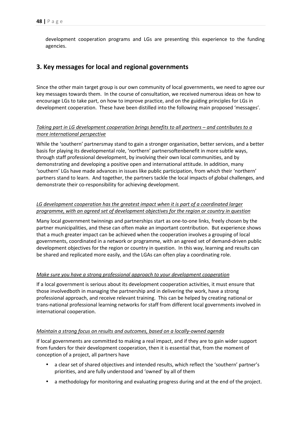development cooperation programs and LGs are presenting this experience to the funding agencies.

# **3. Key messages for local and regional governments**

Since the other main target group is our own community of local governments, we need to agree our key messages towards them. In the course of consultation, we received numerous ideas on how to encourage LGs to take part, on how to improve practice, and on the guiding principles for LGs in development cooperation. These have been distilled into the following main proposed 'messages'.

# *Taking part in LG development cooperation brings benefits to all partners – and contributes to a more international perspective*

While the 'southern' partnersmay stand to gain a stronger organisation, better services, and a better basis for playing its developmental role, 'northern' partnersoftenbenefit in more subtle ways, through staff professional development, by involving their own local communities, and by demonstrating and developing a positive open and international attitude. In addition, many 'southern' LGs have made advances in issues like public participation, from which their 'northern' partners stand to learn. And together, the partners tackle the local impacts of global challenges, and demonstrate their co-responsibility for achieving development.

## *LG development cooperation has the greatest impact when it is part of a coordinated larger programme, with an agreed set of development objectives for the region or country in question*

Many local government twinnings and partnerships start as one-to-one links, freely chosen by the partner municipalities, and these can often make an important contribution. But experience shows that a much greater impact can be achieved when the cooperation involves a grouping of local governments, coordinated in a network or programme, with an agreed set of demand-driven public development objectives for the region or country in question. In this way, learning and results can be shared and replicated more easily, and the LGAs can often play a coordinating role.

#### *Make sure you have a strong professional approach to your development cooperation*

If a local government is serious about its development cooperation activities, it must ensure that those involvedboth in managing the partnership and in delivering the work, have a strong professional approach, and receive relevant training. This can be helped by creating national or trans-national professional learning networks for staff from different local governments involved in international cooperation.

#### *Maintain a strong focus on results and outcomes, based on a locally-owned agenda*

If local governments are committed to making a real impact, and if they are to gain wider support from funders for their development cooperation, then it is essential that, from the moment of conception of a project, all partners have

- a clear set of shared objectives and intended results, which reflect the 'southern' partner's priorities, and are fully understood and 'owned' by all of them
- a methodology for monitoring and evaluating progress during and at the end of the project.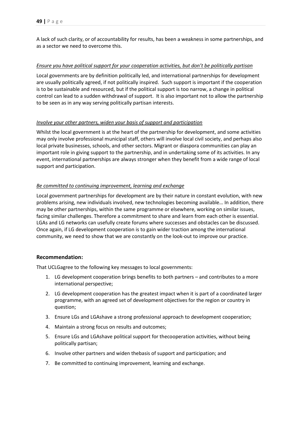A lack of such clarity, or of accountability for results, has been a weakness in some partnerships, and as a sector we need to overcome this.

## *Ensure you have political support for your cooperation activities, but don't be politically partisan*

Local governments are by definition politically led, and international partnerships for development are usually politically agreed, if not politically inspired. Such support is important if the cooperation is to be sustainable and resourced, but if the political support is too narrow, a change in political control can lead to a sudden withdrawal of support. It is also important not to allow the partnership to be seen as in any way serving politically partisan interests.

# *Involve your other partners, widen your basis of support and participation*

Whilst the local government is at the heart of the partnership for development, and some activities may only involve professional municipal staff, others will involve local civil society, and perhaps also local private businesses, schools, and other sectors. Migrant or diaspora communities can play an important role in giving support to the partnership, and in undertaking some of its activities. In any event, international partnerships are always stronger when they benefit from a wide range of local support and participation.

## *Be committed to continuing improvement, learning and exchange*

Local government partnerships for development are by their nature in constant evolution, with new problems arising, new individuals involved, new technologies becoming available… In addition, there may be other partnerships, within the same programme or elsewhere, working on similar issues, facing similar challenges. Therefore a commitment to share and learn from each other is essential. LGAs and LG networks can usefully create forums where successes and obstacles can be discussed. Once again, if LG development cooperation is to gain wider traction among the international community, we need to show that we are constantly on the look-out to improve our practice.

# **Recommendation:**

That UCLGagree to the following key messages to local governments:

- 1. LG development cooperation brings benefits to both partners and contributes to a more international perspective;
- 2. LG development cooperation has the greatest impact when it is part of a coordinated larger programme, with an agreed set of development objectives for the region or country in question;
- 3. Ensure LGs and LGAshave a strong professional approach to development cooperation;
- 4. Maintain a strong focus on results and outcomes;
- 5. Ensure LGs and LGAshave political support for thecooperation activities, without being politically partisan;
- 6. Involve other partners and widen thebasis of support and participation; and
- 7. Be committed to continuing improvement, learning and exchange.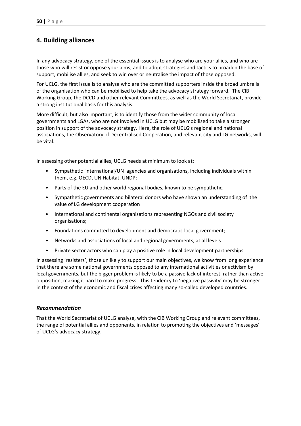# **4. Building alliances**

In any advocacy strategy, one of the essential issues is to analyse who are your allies, and who are those who will resist or oppose your aims; and to adopt strategies and tactics to broaden the base of support, mobilise allies, and seek to win over or neutralise the impact of those opposed.

For UCLG, the first issue is to analyse who are the committed supporters inside the broad umbrella of the organisation who can be mobilised to help take the advocacy strategy forward. The CIB Working Group, the DCCD and other relevant Committees, as well as the World Secretariat, provide a strong institutional basis for this analysis.

More difficult, but also important, is to identify those from the wider community of local governments and LGAs, who are not involved in UCLG but may be mobilised to take a stronger position in support of the advocacy strategy. Here, the role of UCLG's regional and national associations, the Observatory of Decentralised Cooperation, and relevant city and LG networks, will be vital.

In assessing other potential allies, UCLG needs at minimum to look at:

- Sympathetic international/UN agencies and organisations, including individuals within them, e.g. OECD, UN Habitat, UNDP;
- Parts of the EU and other world regional bodies, known to be sympathetic;
- Sympathetic governments and bilateral donors who have shown an understanding of the value of LG development cooperation
- International and continental organisations representing NGOs and civil society organisations;
- Foundations committed to development and democratic local government;
- Networks and associations of local and regional governments, at all levels
- Private sector actors who can play a positive role in local development partnerships

In assessing 'resisters', those unlikely to support our main objectives, we know from long experience that there are some national governments opposed to any international activities or activism by local governments, but the bigger problem is likely to be a passive lack of interest, rather than active opposition, making it hard to make progress. This tendency to 'negative passivity' may be stronger in the context of the economic and fiscal crises affecting many so-called developed countries.

#### *Recommendation*

That the World Secretariat of UCLG analyse, with the CIB Working Group and relevant committees, the range of potential allies and opponents, in relation to promoting the objectives and 'messages' of UCLG's advocacy strategy.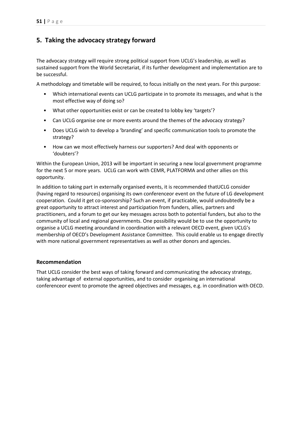# **5. Taking the advocacy strategy forward**

The advocacy strategy will require strong political support from UCLG's leadership, as well as sustained support from the World Secretariat, if its further development and implementation are to be successful.

A methodology and timetable will be required, to focus initially on the next years. For this purpose:

- Which international events can UCLG participate in to promote its messages, and what is the most effective way of doing so?
- What other opportunities exist or can be created to lobby key 'targets'?
- Can UCLG organise one or more events around the themes of the advocacy strategy?
- Does UCLG wish to develop a 'branding' and specific communication tools to promote the strategy?
- How can we most effectively harness our supporters? And deal with opponents or 'doubters'?

Within the European Union, 2013 will be important in securing a new local government programme for the next 5 or more years. UCLG can work with CEMR, PLATFORMA and other allies on this opportunity.

In addition to taking part in externally organised events, it is recommended thatUCLG consider (having regard to resources) organising its own conferenceor event on the future of LG development cooperation. Could it get co-sponsorship? Such an event, if practicable, would undoubtedly be a great opportunity to attract interest and participation from funders, allies, partners and practitioners, and a forum to get our key messages across both to potential funders, but also to the community of local and regional governments. One possibility would be to use the opportunity to organise a UCLG meeting aroundand in coordination with a relevant OECD event, given UCLG's membership of OECD's Development Assistance Committee. This could enable us to engage directly with more national government representatives as well as other donors and agencies.

# **Recommendation**

That UCLG consider the best ways of taking forward and communicating the advocacy strategy, taking advantage of external opportunities, and to consider organising an international conferenceor event to promote the agreed objectives and messages, e.g. in coordination with OECD.